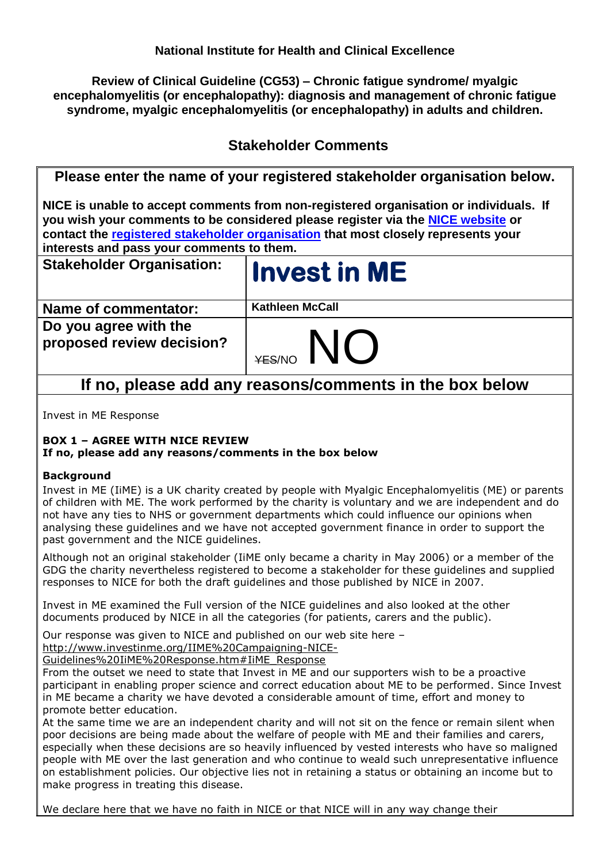**Review of Clinical Guideline (CG53) – Chronic fatigue syndrome/ myalgic encephalomyelitis (or encephalopathy): diagnosis and management of chronic fatigue syndrome, myalgic encephalomyelitis (or encephalopathy) in adults and children.**

# **Stakeholder Comments**

| Please enter the name of your registered stakeholder organisation below.                                                                                                                                                                                                                                   |                        |
|------------------------------------------------------------------------------------------------------------------------------------------------------------------------------------------------------------------------------------------------------------------------------------------------------------|------------------------|
| NICE is unable to accept comments from non-registered organisation or individuals. If<br>you wish your comments to be considered please register via the NICE website or<br>contact the registered stakeholder organisation that most closely represents your<br>interests and pass your comments to them. |                        |
| <b>Stakeholder Organisation:</b>                                                                                                                                                                                                                                                                           | <b>Invest in ME</b>    |
| <b>Name of commentator:</b>                                                                                                                                                                                                                                                                                | <b>Kathleen McCall</b> |
| Do you agree with the<br>proposed review decision?                                                                                                                                                                                                                                                         | <b>YES/NO</b>          |
| If no, please add any reasons/comments in the box below                                                                                                                                                                                                                                                    |                        |

Invest in ME Response

# **BOX 1 – AGREE WITH NICE REVIEW**

# **If no, please add any reasons/comments in the box below**

# **Background**

Invest in ME (IiME) is a UK charity created by people with Myalgic Encephalomyelitis (ME) or parents of children with ME. The work performed by the charity is voluntary and we are independent and do not have any ties to NHS or government departments which could influence our opinions when analysing these guidelines and we have not accepted government finance in order to support the past government and the NICE guidelines.

Although not an original stakeholder (IiME only became a charity in May 2006) or a member of the GDG the charity nevertheless registered to become a stakeholder for these guidelines and supplied responses to NICE for both the draft guidelines and those published by NICE in 2007.

Invest in ME examined the Full version of the NICE guidelines and also looked at the other documents produced by NICE in all the categories (for patients, carers and the public).

Our response was given to NICE and published on our web site here –

[http://www.investinme.org/IIME%20Campaigning-NICE-](http://www.investinme.org/IIME%20Campaigning-NICE-Guidelines%20IiME%20Response.htm#IiME_Response)

[Guidelines%20IiME%20Response.htm#IiME\\_Response](http://www.investinme.org/IIME%20Campaigning-NICE-Guidelines%20IiME%20Response.htm#IiME_Response)

From the outset we need to state that Invest in ME and our supporters wish to be a proactive participant in enabling proper science and correct education about ME to be performed. Since Invest in ME became a charity we have devoted a considerable amount of time, effort and money to promote better education.

At the same time we are an independent charity and will not sit on the fence or remain silent when poor decisions are being made about the welfare of people with ME and their families and carers, especially when these decisions are so heavily influenced by vested interests who have so maligned people with ME over the last generation and who continue to weald such unrepresentative influence on establishment policies. Our objective lies not in retaining a status or obtaining an income but to make progress in treating this disease.

We declare here that we have no faith in NICE or that NICE will in any way change their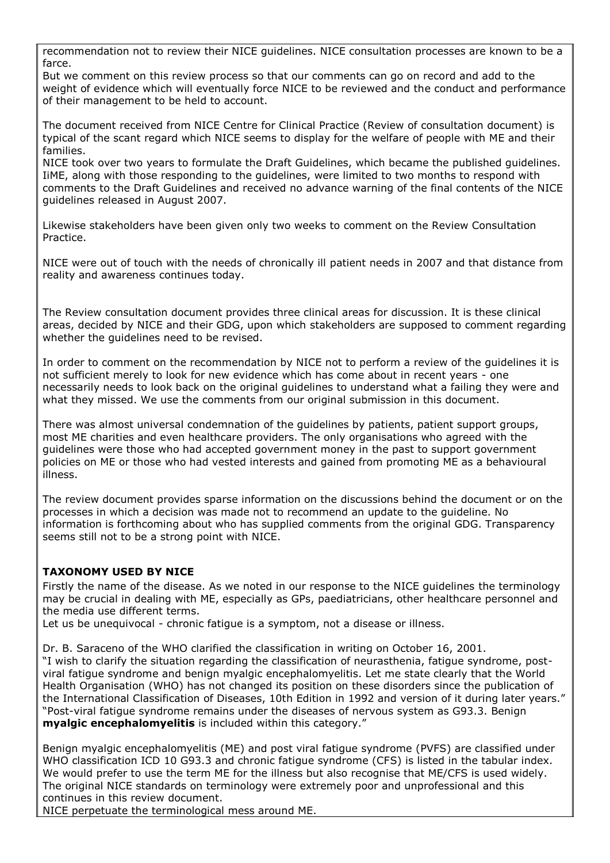recommendation not to review their NICE guidelines. NICE consultation processes are known to be a farce.

But we comment on this review process so that our comments can go on record and add to the weight of evidence which will eventually force NICE to be reviewed and the conduct and performance of their management to be held to account.

The document received from NICE Centre for Clinical Practice (Review of consultation document) is typical of the scant regard which NICE seems to display for the welfare of people with ME and their families.

NICE took over two years to formulate the Draft Guidelines, which became the published guidelines. IiME, along with those responding to the guidelines, were limited to two months to respond with comments to the Draft Guidelines and received no advance warning of the final contents of the NICE guidelines released in August 2007.

Likewise stakeholders have been given only two weeks to comment on the Review Consultation Practice.

NICE were out of touch with the needs of chronically ill patient needs in 2007 and that distance from reality and awareness continues today.

The Review consultation document provides three clinical areas for discussion. It is these clinical areas, decided by NICE and their GDG, upon which stakeholders are supposed to comment regarding whether the guidelines need to be revised.

In order to comment on the recommendation by NICE not to perform a review of the guidelines it is not sufficient merely to look for new evidence which has come about in recent years - one necessarily needs to look back on the original guidelines to understand what a failing they were and what they missed. We use the comments from our original submission in this document.

There was almost universal condemnation of the guidelines by patients, patient support groups, most ME charities and even healthcare providers. The only organisations who agreed with the guidelines were those who had accepted government money in the past to support government policies on ME or those who had vested interests and gained from promoting ME as a behavioural illness.

The review document provides sparse information on the discussions behind the document or on the processes in which a decision was made not to recommend an update to the guideline. No information is forthcoming about who has supplied comments from the original GDG. Transparency seems still not to be a strong point with NICE.

# **TAXONOMY USED BY NICE**

Firstly the name of the disease. As we noted in our response to the NICE guidelines the terminology may be crucial in dealing with ME, especially as GPs, paediatricians, other healthcare personnel and the media use different terms.

Let us be unequivocal - chronic fatique is a symptom, not a disease or illness.

Dr. B. Saraceno of the WHO clarified the classification in writing on October 16, 2001. "I wish to clarify the situation regarding the classification of neurasthenia, fatigue syndrome, postviral fatigue syndrome and benign myalgic encephalomyelitis. Let me state clearly that the World Health Organisation (WHO) has not changed its position on these disorders since the publication of the International Classification of Diseases, 10th Edition in 1992 and version of it during later years." "Post-viral fatigue syndrome remains under the diseases of nervous system as G93.3. Benign **myalgic encephalomyelitis** is included within this category."

Benign myalgic encephalomyelitis (ME) and post viral fatigue syndrome (PVFS) are classified under WHO classification ICD 10 G93.3 and chronic fatigue syndrome (CFS) is listed in the tabular index. We would prefer to use the term ME for the illness but also recognise that ME/CFS is used widely. The original NICE standards on terminology were extremely poor and unprofessional and this continues in this review document.

NICE perpetuate the terminological mess around ME.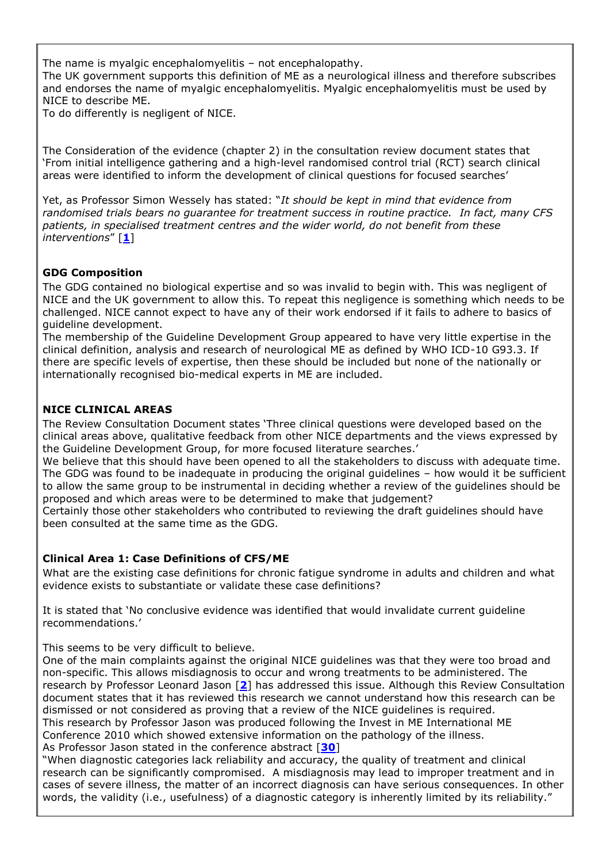The name is myalgic encephalomyelitis – not encephalopathy. The UK government supports this definition of ME as a neurological illness and therefore subscribes and endorses the name of myalgic encephalomyelitis. Myalgic encephalomyelitis must be used by NICE to describe ME.

To do differently is negligent of NICE.

The Consideration of the evidence (chapter 2) in the consultation review document states that "From initial intelligence gathering and a high-level randomised control trial (RCT) search clinical areas were identified to inform the development of clinical questions for focused searches"

Yet, as Professor Simon Wessely has stated: "*It should be kept in mind that evidence from randomised trials bears no guarantee for treatment success in routine practice. In fact, many CFS patients, in specialised treatment centres and the wider world, do not benefit from these interventions*" [**[1](#page-25-0)**]

# **GDG Composition**

The GDG contained no biological expertise and so was invalid to begin with. This was negligent of NICE and the UK government to allow this. To repeat this negligence is something which needs to be challenged. NICE cannot expect to have any of their work endorsed if it fails to adhere to basics of guideline development.

The membership of the Guideline Development Group appeared to have very little expertise in the clinical definition, analysis and research of neurological ME as defined by WHO ICD-10 G93.3. If there are specific levels of expertise, then these should be included but none of the nationally or internationally recognised bio-medical experts in ME are included.

# **NICE CLINICAL AREAS**

The Review Consultation Document states "Three clinical questions were developed based on the clinical areas above, qualitative feedback from other NICE departments and the views expressed by the Guideline Development Group, for more focused literature searches."

We believe that this should have been opened to all the stakeholders to discuss with adequate time. The GDG was found to be inadequate in producing the original guidelines – how would it be sufficient to allow the same group to be instrumental in deciding whether a review of the guidelines should be proposed and which areas were to be determined to make that judgement?

Certainly those other stakeholders who contributed to reviewing the draft guidelines should have been consulted at the same time as the GDG.

### **Clinical Area 1: Case Definitions of CFS/ME**

What are the existing case definitions for chronic fatigue syndrome in adults and children and what evidence exists to substantiate or validate these case definitions?

It is stated that "No conclusive evidence was identified that would invalidate current guideline recommendations."

This seems to be very difficult to believe.

One of the main complaints against the original NICE guidelines was that they were too broad and non-specific. This allows misdiagnosis to occur and wrong treatments to be administered. The research by Professor Leonard Jason [**[2](#page-25-1)**] has addressed this issue. Although this Review Consultation document states that it has reviewed this research we cannot understand how this research can be dismissed or not considered as proving that a review of the NICE guidelines is required. This research by Professor Jason was produced following the Invest in ME International ME Conference 2010 which showed extensive information on the pathology of the illness.

As Professor Jason stated in the conference abstract [**[30](#page-28-0)**]

"When diagnostic categories lack reliability and accuracy, the quality of treatment and clinical research can be significantly compromised. A misdiagnosis may lead to improper treatment and in cases of severe illness, the matter of an incorrect diagnosis can have serious consequences. In other words, the validity (i.e., usefulness) of a diagnostic category is inherently limited by its reliability."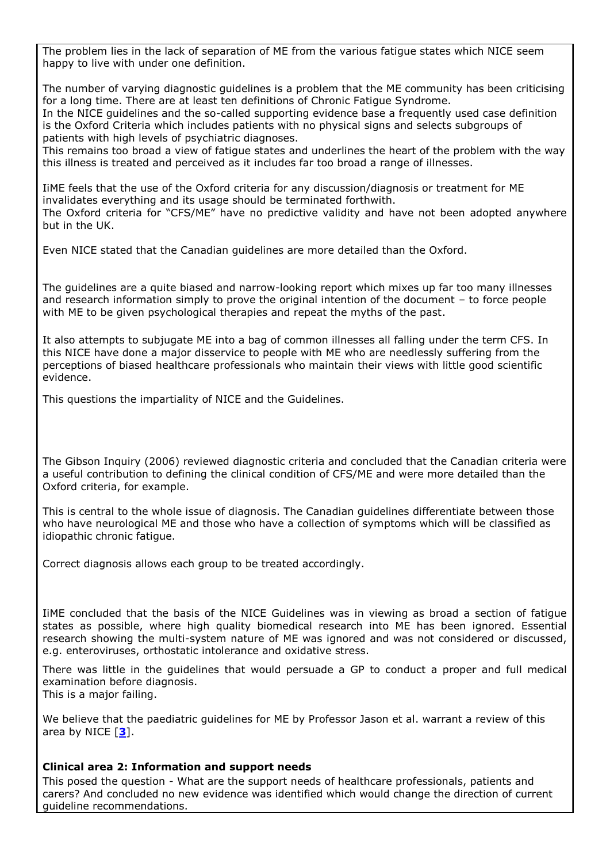The problem lies in the lack of separation of ME from the various fatigue states which NICE seem happy to live with under one definition.

The number of varying diagnostic guidelines is a problem that the ME community has been criticising for a long time. There are at least ten definitions of Chronic Fatigue Syndrome.

In the NICE guidelines and the so-called supporting evidence base a frequently used case definition is the Oxford Criteria which includes patients with no physical signs and selects subgroups of patients with high levels of psychiatric diagnoses.

This remains too broad a view of fatigue states and underlines the heart of the problem with the way this illness is treated and perceived as it includes far too broad a range of illnesses.

IiME feels that the use of the Oxford criteria for any discussion/diagnosis or treatment for ME invalidates everything and its usage should be terminated forthwith. The Oxford criteria for "CFS/ME" have no predictive validity and have not been adopted anywhere but in the UK.

Even NICE stated that the Canadian guidelines are more detailed than the Oxford.

The guidelines are a quite biased and narrow-looking report which mixes up far too many illnesses and research information simply to prove the original intention of the document – to force people with ME to be given psychological therapies and repeat the myths of the past.

It also attempts to subjugate ME into a bag of common illnesses all falling under the term CFS. In this NICE have done a major disservice to people with ME who are needlessly suffering from the perceptions of biased healthcare professionals who maintain their views with little good scientific evidence.

This questions the impartiality of NICE and the Guidelines.

The Gibson Inquiry (2006) reviewed diagnostic criteria and concluded that the Canadian criteria were a useful contribution to defining the clinical condition of CFS/ME and were more detailed than the Oxford criteria, for example.

This is central to the whole issue of diagnosis. The Canadian guidelines differentiate between those who have neurological ME and those who have a collection of symptoms which will be classified as idiopathic chronic fatigue.

Correct diagnosis allows each group to be treated accordingly.

IiME concluded that the basis of the NICE Guidelines was in viewing as broad a section of fatigue states as possible, where high quality biomedical research into ME has been ignored. Essential research showing the multi-system nature of ME was ignored and was not considered or discussed, e.g. enteroviruses, orthostatic intolerance and oxidative stress.

There was little in the guidelines that would persuade a GP to conduct a proper and full medical examination before diagnosis.

This is a major failing.

We believe that the paediatric guidelines for ME by Professor Jason et al. warrant a review of this area by NICE [**[3](#page-25-2)**].

#### **Clinical area 2: Information and support needs**

This posed the question - What are the support needs of healthcare professionals, patients and carers? And concluded no new evidence was identified which would change the direction of current guideline recommendations.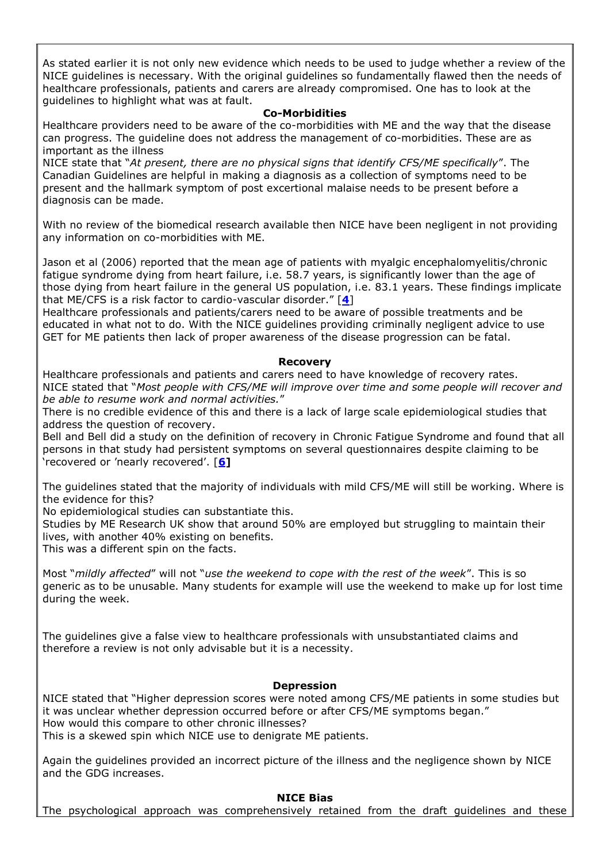As stated earlier it is not only new evidence which needs to be used to judge whether a review of the NICE guidelines is necessary. With the original guidelines so fundamentally flawed then the needs of healthcare professionals, patients and carers are already compromised. One has to look at the guidelines to highlight what was at fault.

#### **Co-Morbidities**

Healthcare providers need to be aware of the co-morbidities with ME and the way that the disease can progress. The guideline does not address the management of co-morbidities. These are as important as the illness

NICE state that "*At present, there are no physical signs that identify CFS/ME specifically*". The Canadian Guidelines are helpful in making a diagnosis as a collection of symptoms need to be present and the hallmark symptom of post excertional malaise needs to be present before a diagnosis can be made.

With no review of the biomedical research available then NICE have been negligent in not providing any information on co-morbidities with ME.

Jason et al (2006) reported that the mean age of patients with myalgic encephalomyelitis/chronic fatigue syndrome dying from heart failure, i.e. 58.7 years, is significantly lower than the age of those dying from heart failure in the general US population, i.e. 83.1 years. These findings implicate that ME/CFS is a risk factor to cardio-vascular disorder." [**[4](#page-25-3)**]

Healthcare professionals and patients/carers need to be aware of possible treatments and be educated in what not to do. With the NICE guidelines providing criminally negligent advice to use GET for ME patients then lack of proper awareness of the disease progression can be fatal.

#### **Recovery**

Healthcare professionals and patients and carers need to have knowledge of recovery rates. NICE stated that "*Most people with CFS/ME will improve over time and some people will recover and be able to resume work and normal activities.*"

There is no credible evidence of this and there is a lack of large scale epidemiological studies that address the question of recovery.

Bell and Bell did a study on the definition of recovery in Chronic Fatigue Syndrome and found that all persons in that study had persistent symptoms on several questionnaires despite claiming to be "recovered or "nearly recovered". [**[6\]](#page-26-0)**

The guidelines stated that the majority of individuals with mild CFS/ME will still be working. Where is the evidence for this?

No epidemiological studies can substantiate this.

Studies by ME Research UK show that around 50% are employed but struggling to maintain their lives, with another 40% existing on benefits.

This was a different spin on the facts.

Most "*mildly affected*" will not "*use the weekend to cope with the rest of the week*". This is so generic as to be unusable. Many students for example will use the weekend to make up for lost time during the week.

The guidelines give a false view to healthcare professionals with unsubstantiated claims and therefore a review is not only advisable but it is a necessity.

### **Depression**

NICE stated that "Higher depression scores were noted among CFS/ME patients in some studies but it was unclear whether depression occurred before or after CFS/ME symptoms began." How would this compare to other chronic illnesses? This is a skewed spin which NICE use to denigrate ME patients.

Again the guidelines provided an incorrect picture of the illness and the negligence shown by NICE and the GDG increases.

#### **NICE Bias**

The psychological approach was comprehensively retained from the draft guidelines and these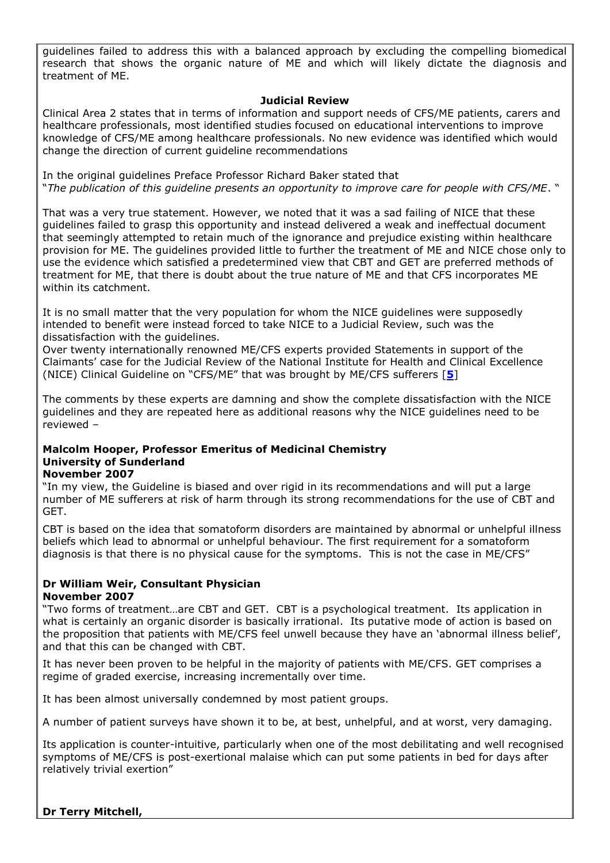guidelines failed to address this with a balanced approach by excluding the compelling biomedical research that shows the organic nature of ME and which will likely dictate the diagnosis and treatment of ME.

## **Judicial Review**

Clinical Area 2 states that in terms of information and support needs of CFS/ME patients, carers and healthcare professionals, most identified studies focused on educational interventions to improve knowledge of CFS/ME among healthcare professionals. No new evidence was identified which would change the direction of current guideline recommendations

In the original guidelines Preface Professor Richard Baker stated that "*The publication of this guideline presents an opportunity to improve care for people with CFS/ME*. "

That was a very true statement. However, we noted that it was a sad failing of NICE that these guidelines failed to grasp this opportunity and instead delivered a weak and ineffectual document that seemingly attempted to retain much of the ignorance and prejudice existing within healthcare provision for ME. The guidelines provided little to further the treatment of ME and NICE chose only to use the evidence which satisfied a predetermined view that CBT and GET are preferred methods of treatment for ME, that there is doubt about the true nature of ME and that CFS incorporates ME within its catchment.

It is no small matter that the very population for whom the NICE guidelines were supposedly intended to benefit were instead forced to take NICE to a Judicial Review, such was the dissatisfaction with the guidelines.

Over twenty internationally renowned ME/CFS experts provided Statements in support of the Claimants" case for the Judicial Review of the National Institute for Health and Clinical Excellence (NICE) Clinical Guideline on "CFS/ME" that was brought by ME/CFS sufferers [**[5](#page-26-1)**]

The comments by these experts are damning and show the complete dissatisfaction with the NICE guidelines and they are repeated here as additional reasons why the NICE guidelines need to be reviewed –

# **Malcolm Hooper, Professor Emeritus of Medicinal Chemistry University of Sunderland**

#### **November 2007**

"In my view, the Guideline is biased and over rigid in its recommendations and will put a large number of ME sufferers at risk of harm through its strong recommendations for the use of CBT and GET.

CBT is based on the idea that somatoform disorders are maintained by abnormal or unhelpful illness beliefs which lead to abnormal or unhelpful behaviour. The first requirement for a somatoform diagnosis is that there is no physical cause for the symptoms. This is not the case in ME/CFS"

# **Dr William Weir, Consultant Physician November 2007**

"Two forms of treatment…are CBT and GET. CBT is a psychological treatment. Its application in what is certainly an organic disorder is basically irrational. Its putative mode of action is based on the proposition that patients with ME/CFS feel unwell because they have an "abnormal illness belief", and that this can be changed with CBT.

It has never been proven to be helpful in the majority of patients with ME/CFS. GET comprises a regime of graded exercise, increasing incrementally over time.

It has been almost universally condemned by most patient groups.

A number of patient surveys have shown it to be, at best, unhelpful, and at worst, very damaging.

Its application is counter-intuitive, particularly when one of the most debilitating and well recognised symptoms of ME/CFS is post-exertional malaise which can put some patients in bed for days after relatively trivial exertion"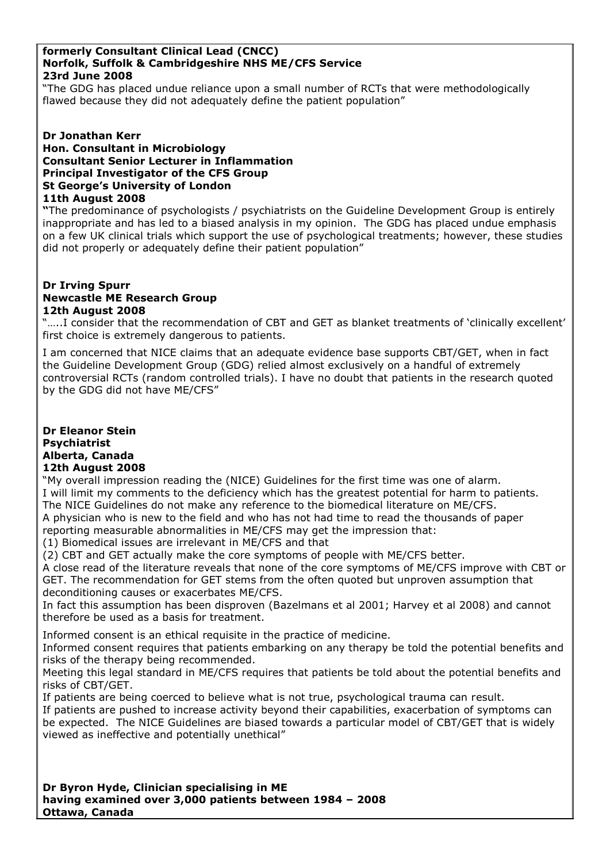#### **formerly Consultant Clinical Lead (CNCC) Norfolk, Suffolk & Cambridgeshire NHS ME/CFS Service 23rd June 2008**

"The GDG has placed undue reliance upon a small number of RCTs that were methodologically flawed because they did not adequately define the patient population"

#### **Dr Jonathan Kerr Hon. Consultant in Microbiology Consultant Senior Lecturer in Inflammation Principal Investigator of the CFS Group St George's University of London 11th August 2008**

**"**The predominance of psychologists / psychiatrists on the Guideline Development Group is entirely inappropriate and has led to a biased analysis in my opinion. The GDG has placed undue emphasis on a few UK clinical trials which support the use of psychological treatments; however, these studies did not properly or adequately define their patient population"

#### **Dr Irving Spurr Newcastle ME Research Group 12th August 2008**

"…..I consider that the recommendation of CBT and GET as blanket treatments of "clinically excellent" first choice is extremely dangerous to patients.

I am concerned that NICE claims that an adequate evidence base supports CBT/GET, when in fact the Guideline Development Group (GDG) relied almost exclusively on a handful of extremely controversial RCTs (random controlled trials). I have no doubt that patients in the research quoted by the GDG did not have ME/CFS"

#### **Dr Eleanor Stein Psychiatrist Alberta, Canada 12th August 2008**

"My overall impression reading the (NICE) Guidelines for the first time was one of alarm. I will limit my comments to the deficiency which has the greatest potential for harm to patients. The NICE Guidelines do not make any reference to the biomedical literature on ME/CFS.

A physician who is new to the field and who has not had time to read the thousands of paper reporting measurable abnormalities in ME/CFS may get the impression that:

(1) Biomedical issues are irrelevant in ME/CFS and that

(2) CBT and GET actually make the core symptoms of people with ME/CFS better.

A close read of the literature reveals that none of the core symptoms of ME/CFS improve with CBT or GET. The recommendation for GET stems from the often quoted but unproven assumption that deconditioning causes or exacerbates ME/CFS.

In fact this assumption has been disproven (Bazelmans et al 2001; Harvey et al 2008) and cannot therefore be used as a basis for treatment.

Informed consent is an ethical requisite in the practice of medicine.

Informed consent requires that patients embarking on any therapy be told the potential benefits and risks of the therapy being recommended.

Meeting this legal standard in ME/CFS requires that patients be told about the potential benefits and risks of CBT/GET.

If patients are being coerced to believe what is not true, psychological trauma can result.

If patients are pushed to increase activity beyond their capabilities, exacerbation of symptoms can be expected. The NICE Guidelines are biased towards a particular model of CBT/GET that is widely viewed as ineffective and potentially unethical"

**Dr Byron Hyde, Clinician specialising in ME having examined over 3,000 patients between 1984 – 2008 Ottawa, Canada**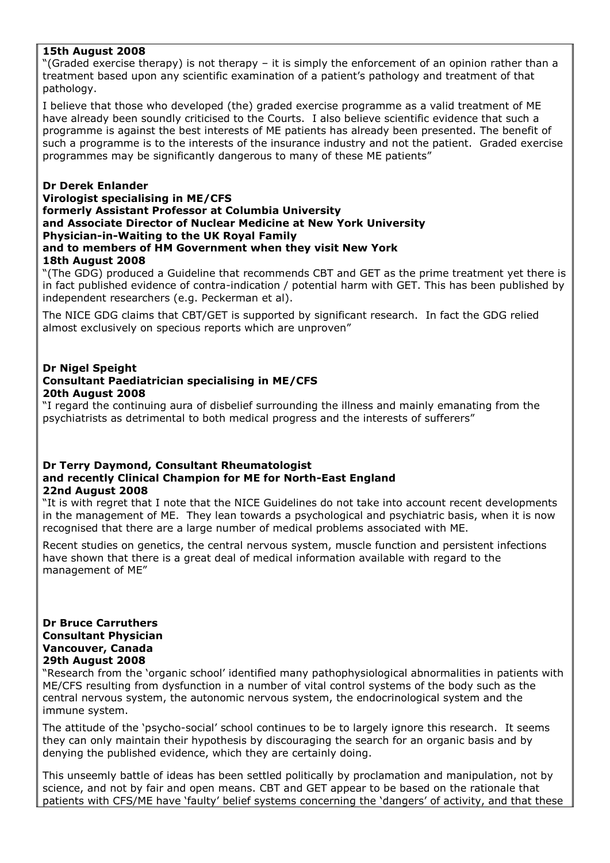#### **15th August 2008**

"(Graded exercise therapy) is not therapy – it is simply the enforcement of an opinion rather than a treatment based upon any scientific examination of a patient"s pathology and treatment of that pathology.

I believe that those who developed (the) graded exercise programme as a valid treatment of ME have already been soundly criticised to the Courts. I also believe scientific evidence that such a programme is against the best interests of ME patients has already been presented. The benefit of such a programme is to the interests of the insurance industry and not the patient. Graded exercise programmes may be significantly dangerous to many of these ME patients"

#### **Dr Derek Enlander Virologist specialising in ME/CFS formerly Assistant Professor at Columbia University and Associate Director of Nuclear Medicine at New York University Physician-in-Waiting to the UK Royal Family and to members of HM Government when they visit New York 18th August 2008**

"(The GDG) produced a Guideline that recommends CBT and GET as the prime treatment yet there is in fact published evidence of contra-indication / potential harm with GET. This has been published by independent researchers (e.g. Peckerman et al).

The NICE GDG claims that CBT/GET is supported by significant research. In fact the GDG relied almost exclusively on specious reports which are unproven"

#### **Dr Nigel Speight Consultant Paediatrician specialising in ME/CFS 20th August 2008**

"I regard the continuing aura of disbelief surrounding the illness and mainly emanating from the psychiatrists as detrimental to both medical progress and the interests of sufferers"

#### **Dr Terry Daymond, Consultant Rheumatologist and recently Clinical Champion for ME for North-East England 22nd August 2008**

"It is with regret that I note that the NICE Guidelines do not take into account recent developments in the management of ME. They lean towards a psychological and psychiatric basis, when it is now recognised that there are a large number of medical problems associated with ME.

Recent studies on genetics, the central nervous system, muscle function and persistent infections have shown that there is a great deal of medical information available with regard to the management of ME"

#### **Dr Bruce Carruthers Consultant Physician Vancouver, Canada 29th August 2008**

"Research from the "organic school" identified many pathophysiological abnormalities in patients with ME/CFS resulting from dysfunction in a number of vital control systems of the body such as the central nervous system, the autonomic nervous system, the endocrinological system and the immune system.

The attitude of the "psycho-social" school continues to be to largely ignore this research. It seems they can only maintain their hypothesis by discouraging the search for an organic basis and by denying the published evidence, which they are certainly doing.

This unseemly battle of ideas has been settled politically by proclamation and manipulation, not by science, and not by fair and open means. CBT and GET appear to be based on the rationale that patients with CFS/ME have 'faulty' belief systems concerning the 'dangers' of activity, and that these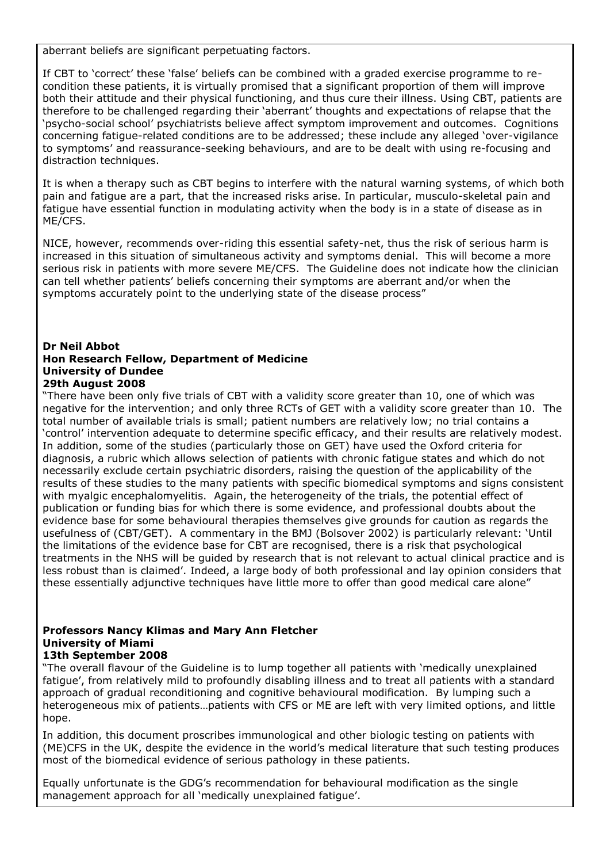aberrant beliefs are significant perpetuating factors.

If CBT to "correct" these "false" beliefs can be combined with a graded exercise programme to recondition these patients, it is virtually promised that a significant proportion of them will improve both their attitude and their physical functioning, and thus cure their illness. Using CBT, patients are therefore to be challenged regarding their "aberrant" thoughts and expectations of relapse that the "psycho-social school" psychiatrists believe affect symptom improvement and outcomes. Cognitions concerning fatigue-related conditions are to be addressed; these include any alleged "over-vigilance to symptoms" and reassurance-seeking behaviours, and are to be dealt with using re-focusing and distraction techniques.

It is when a therapy such as CBT begins to interfere with the natural warning systems, of which both pain and fatigue are a part, that the increased risks arise. In particular, musculo-skeletal pain and fatigue have essential function in modulating activity when the body is in a state of disease as in ME/CFS.

NICE, however, recommends over-riding this essential safety-net, thus the risk of serious harm is increased in this situation of simultaneous activity and symptoms denial. This will become a more serious risk in patients with more severe ME/CFS. The Guideline does not indicate how the clinician can tell whether patients" beliefs concerning their symptoms are aberrant and/or when the symptoms accurately point to the underlying state of the disease process"

#### **Dr Neil Abbot Hon Research Fellow, Department of Medicine University of Dundee 29th August 2008**

"There have been only five trials of CBT with a validity score greater than 10, one of which was negative for the intervention; and only three RCTs of GET with a validity score greater than 10. The total number of available trials is small; patient numbers are relatively low; no trial contains a "control" intervention adequate to determine specific efficacy, and their results are relatively modest. In addition, some of the studies (particularly those on GET) have used the Oxford criteria for diagnosis, a rubric which allows selection of patients with chronic fatigue states and which do not necessarily exclude certain psychiatric disorders, raising the question of the applicability of the results of these studies to the many patients with specific biomedical symptoms and signs consistent with myalgic encephalomyelitis. Again, the heterogeneity of the trials, the potential effect of publication or funding bias for which there is some evidence, and professional doubts about the evidence base for some behavioural therapies themselves give grounds for caution as regards the usefulness of (CBT/GET). A commentary in the BMJ (Bolsover 2002) is particularly relevant: "Until the limitations of the evidence base for CBT are recognised, there is a risk that psychological treatments in the NHS will be guided by research that is not relevant to actual clinical practice and is less robust than is claimed'. Indeed, a large body of both professional and lay opinion considers that these essentially adjunctive techniques have little more to offer than good medical care alone"

#### **Professors Nancy Klimas and Mary Ann Fletcher University of Miami 13th September 2008**

"The overall flavour of the Guideline is to lump together all patients with "medically unexplained fatigue", from relatively mild to profoundly disabling illness and to treat all patients with a standard approach of gradual reconditioning and cognitive behavioural modification. By lumping such a heterogeneous mix of patients…patients with CFS or ME are left with very limited options, and little hope.

In addition, this document proscribes immunological and other biologic testing on patients with (ME)CFS in the UK, despite the evidence in the world"s medical literature that such testing produces most of the biomedical evidence of serious pathology in these patients.

Equally unfortunate is the GDG"s recommendation for behavioural modification as the single management approach for all 'medically unexplained fatigue'.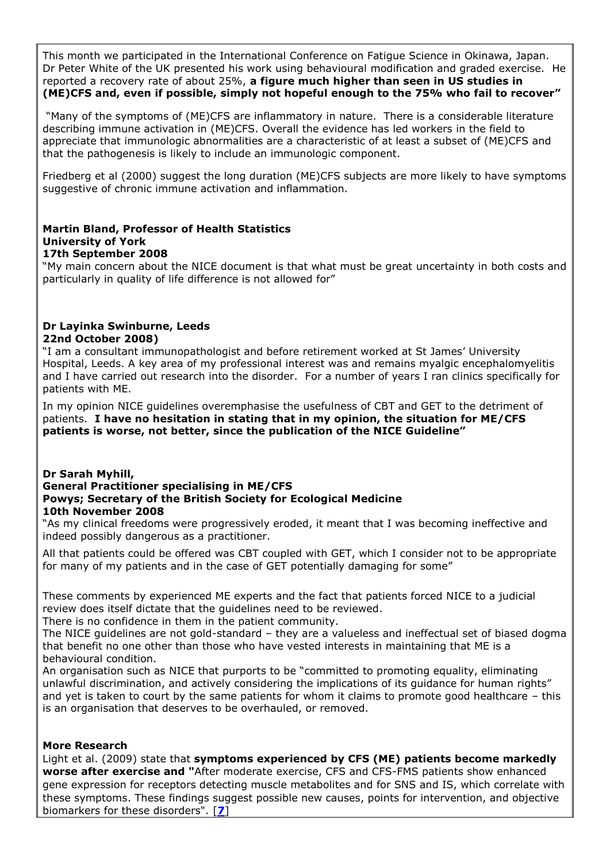This month we participated in the International Conference on Fatigue Science in Okinawa, Japan. Dr Peter White of the UK presented his work using behavioural modification and graded exercise. He reported a recovery rate of about 25%, **a figure much higher than seen in US studies in (ME)CFS and, even if possible, simply not hopeful enough to the 75% who fail to recover"**

"Many of the symptoms of (ME)CFS are inflammatory in nature. There is a considerable literature describing immune activation in (ME)CFS. Overall the evidence has led workers in the field to appreciate that immunologic abnormalities are a characteristic of at least a subset of (ME)CFS and that the pathogenesis is likely to include an immunologic component.

Friedberg et al (2000) suggest the long duration (ME)CFS subjects are more likely to have symptoms suggestive of chronic immune activation and inflammation.

#### **Martin Bland, Professor of Health Statistics University of York 17th September 2008**

"My main concern about the NICE document is that what must be great uncertainty in both costs and particularly in quality of life difference is not allowed for"

## **Dr Layinka Swinburne, Leeds 22nd October 2008)**

"I am a consultant immunopathologist and before retirement worked at St James" University Hospital, Leeds. A key area of my professional interest was and remains myalgic encephalomyelitis and I have carried out research into the disorder. For a number of years I ran clinics specifically for patients with ME.

In my opinion NICE guidelines overemphasise the usefulness of CBT and GET to the detriment of patients. **I have no hesitation in stating that in my opinion, the situation for ME/CFS patients is worse, not better, since the publication of the NICE Guideline"**

#### **Dr Sarah Myhill, General Practitioner specialising in ME/CFS Powys; Secretary of the British Society for Ecological Medicine 10th November 2008**

"As my clinical freedoms were progressively eroded, it meant that I was becoming ineffective and indeed possibly dangerous as a practitioner.

All that patients could be offered was CBT coupled with GET, which I consider not to be appropriate for many of my patients and in the case of GET potentially damaging for some"

These comments by experienced ME experts and the fact that patients forced NICE to a judicial review does itself dictate that the guidelines need to be reviewed.

There is no confidence in them in the patient community.

The NICE guidelines are not gold-standard – they are a valueless and ineffectual set of biased dogma that benefit no one other than those who have vested interests in maintaining that ME is a behavioural condition.

An organisation such as NICE that purports to be "committed to promoting equality, eliminating unlawful discrimination, and actively considering the implications of its guidance for human rights" and yet is taken to court by the same patients for whom it claims to promote good healthcare – this is an organisation that deserves to be overhauled, or removed.

### **More Research**

Light et al. (2009) state that **symptoms experienced by CFS (ME) patients become markedly worse after exercise and "**After moderate exercise, CFS and CFS-FMS patients show enhanced gene expression for receptors detecting muscle metabolites and for SNS and IS, which correlate with these symptoms. These findings suggest possible new causes, points for intervention, and objective biomarkers for these disorders". [**[7](#page-26-2)**]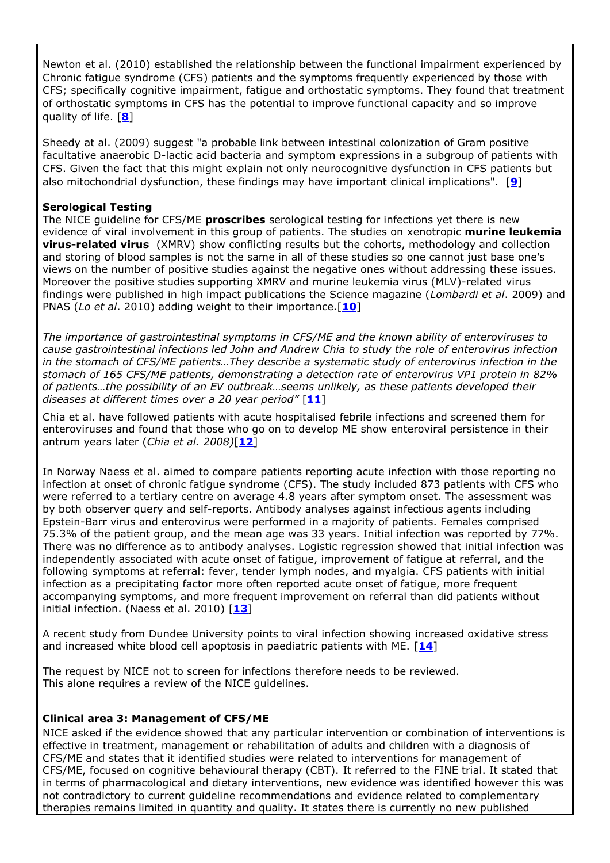Newton et al. (2010) established the relationship between the functional impairment experienced by Chronic fatigue syndrome (CFS) patients and the symptoms frequently experienced by those with CFS; specifically cognitive impairment, fatigue and orthostatic symptoms. They found that treatment of orthostatic symptoms in CFS has the potential to improve functional capacity and so improve quality of life. [**[8](#page-26-3)**]

Sheedy at al. (2009) suggest "a probable link between intestinal colonization of Gram positive facultative anaerobic D-lactic acid bacteria and symptom expressions in a subgroup of patients with CFS. Given the fact that this might explain not only neurocognitive dysfunction in CFS patients but also mitochondrial dysfunction, these findings may have important clinical implications". [**[9](#page-26-4)**]

#### **Serological Testing**

The NICE guideline for CFS/ME **proscribes** serological testing for infections yet there is new evidence of viral involvement in this group of patients. The studies on xenotropic **murine leukemia virus-related virus** (XMRV) show conflicting results but the cohorts, methodology and collection and storing of blood samples is not the same in all of these studies so one cannot just base one's views on the number of positive studies against the negative ones without addressing these issues. Moreover the positive studies supporting XMRV and murine leukemia virus (MLV)-related virus findings were published in high impact publications the Science magazine (*Lombardi et al*. 2009) and PNAS (*Lo et al*. 2010) adding weight to their importance.[**[10](#page-26-5)**]

*The importance of gastrointestinal symptoms in CFS/ME and the known ability of enteroviruses to cause gastrointestinal infections led John and Andrew Chia to study the role of enterovirus infection in the stomach of CFS/ME patients…They describe a systematic study of enterovirus infection in the stomach of 165 CFS/ME patients, demonstrating a detection rate of enterovirus VP1 protein in 82% of patients…the possibility of an EV outbreak…seems unlikely, as these patients developed their diseases at different times over a 20 year period"* [**[11](#page-26-6)**]

Chia et al. have followed patients with acute hospitalised febrile infections and screened them for enteroviruses and found that those who go on to develop ME show enteroviral persistence in their antrum years later (*Chia et al. 2008)*[**[12](#page-26-7)**]

In Norway Naess et al. aimed to compare patients reporting acute infection with those reporting no infection at onset of chronic fatigue syndrome (CFS). The study included 873 patients with CFS who were referred to a tertiary centre on average 4.8 years after symptom onset. The assessment was by both observer query and self-reports. Antibody analyses against infectious agents including Epstein-Barr virus and enterovirus were performed in a majority of patients. Females comprised 75.3% of the patient group, and the mean age was 33 years. Initial infection was reported by 77%. There was no difference as to antibody analyses. Logistic regression showed that initial infection was independently associated with acute onset of fatigue, improvement of fatigue at referral, and the following symptoms at referral: fever, tender lymph nodes, and myalgia. CFS patients with initial infection as a precipitating factor more often reported acute onset of fatigue, more frequent accompanying symptoms, and more frequent improvement on referral than did patients without initial infection. (Naess et al. 2010) [**[13](#page-26-8)**]

A recent study from Dundee University points to viral infection showing increased oxidative stress and increased white blood cell apoptosis in paediatric patients with ME. [**[14](#page-26-9)**]

The request by NICE not to screen for infections therefore needs to be reviewed. This alone requires a review of the NICE guidelines.

### **Clinical area 3: Management of CFS/ME**

NICE asked if the evidence showed that any particular intervention or combination of interventions is effective in treatment, management or rehabilitation of adults and children with a diagnosis of CFS/ME and states that it identified studies were related to interventions for management of CFS/ME, focused on cognitive behavioural therapy (CBT). It referred to the FINE trial. It stated that in terms of pharmacological and dietary interventions, new evidence was identified however this was not contradictory to current guideline recommendations and evidence related to complementary therapies remains limited in quantity and quality. It states there is currently no new published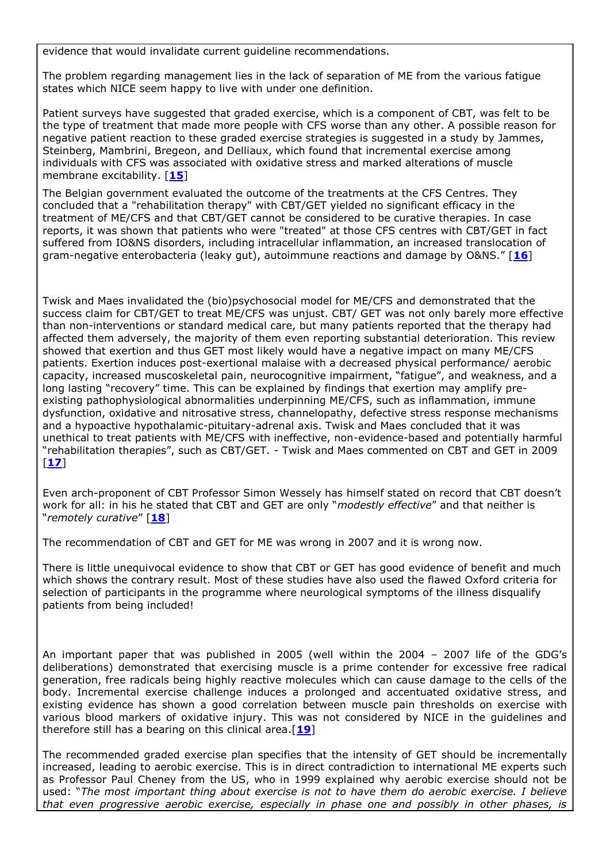evidence that would invalidate current guideline recommendations.

The problem regarding management lies in the lack of separation of ME from the various fatigue states which NICE seem happy to live with under one definition.

Patient surveys have suggested that graded exercise, which is a component of CBT, was felt to be the type of treatment that made more people with CFS worse than any other. A possible reason for negative patient reaction to these graded exercise strategies is suggested in a study by Jammes, Steinberg, Mambrini, Bregeon, and Delliaux, which found that incremental exercise among individuals with CFS was associated with oxidative stress and marked alterations of muscle membrane excitability. [**[15](#page-26-10)**]

The Belgian government evaluated the outcome of the treatments at the CFS Centres. They concluded that a "rehabilitation therapy" with CBT/GET yielded no significant efficacy in the treatment of ME/CFS and that CBT/GET cannot be considered to be curative therapies. In case reports, it was shown that patients who were "treated" at those CFS centres with CBT/GET in fact suffered from IO&NS disorders, including intracellular inflammation, an increased translocation of gram-negative enterobacteria (leaky gut), autoimmune reactions and damage by O&NS." [**[16](#page-27-0)**]

Twisk and Maes invalidated the (bio)psychosocial model for ME/CFS and demonstrated that the success claim for CBT/GET to treat ME/CFS was unjust. CBT/ GET was not only barely more effective than non-interventions or standard medical care, but many patients reported that the therapy had affected them adversely, the majority of them even reporting substantial deterioration. This review showed that exertion and thus GET most likely would have a negative impact on many ME/CFS patients. Exertion induces post-exertional malaise with a decreased physical performance/ aerobic capacity, increased muscoskeletal pain, neurocognitive impairment, "fatigue", and weakness, and a long lasting "recovery" time. This can be explained by findings that exertion may amplify preexisting pathophysiological abnormalities underpinning ME/CFS, such as inflammation, immune dysfunction, oxidative and nitrosative stress, channelopathy, defective stress response mechanisms and a hypoactive hypothalamic-pituitary-adrenal axis. Twisk and Maes concluded that it was unethical to treat patients with ME/CFS with ineffective, non-evidence-based and potentially harmful "rehabilitation therapies", such as CBT/GET. - Twisk and Maes commented on CBT and GET in 2009 [**[17](#page-27-1)**]

Even arch-proponent of CBT Professor Simon Wessely has himself stated on record that CBT doesn"t work for all: in his he stated that CBT and GET are only "*modestly effective*" and that neither is "*remotely curative*" [**[18](#page-27-2)**]

The recommendation of CBT and GET for ME was wrong in 2007 and it is wrong now.

There is little unequivocal evidence to show that CBT or GET has good evidence of benefit and much which shows the contrary result. Most of these studies have also used the flawed Oxford criteria for selection of participants in the programme where neurological symptoms of the illness disqualify patients from being included!

An important paper that was published in 2005 (well within the 2004 – 2007 life of the GDG"s deliberations) demonstrated that exercising muscle is a prime contender for excessive free radical generation, free radicals being highly reactive molecules which can cause damage to the cells of the body. Incremental exercise challenge induces a prolonged and accentuated oxidative stress, and existing evidence has shown a good correlation between muscle pain thresholds on exercise with various blood markers of oxidative injury. This was not considered by NICE in the guidelines and therefore still has a bearing on this clinical area.[**[19](#page-27-3)**]

The recommended graded exercise plan specifies that the intensity of GET should be incrementally increased, leading to aerobic exercise. This is in direct contradiction to international ME experts such as Professor Paul Cheney from the US, who in 1999 explained why aerobic exercise should not be used: "*The most important thing about exercise is not to have them do aerobic exercise. I believe that even progressive aerobic exercise, especially in phase one and possibly in other phases, is*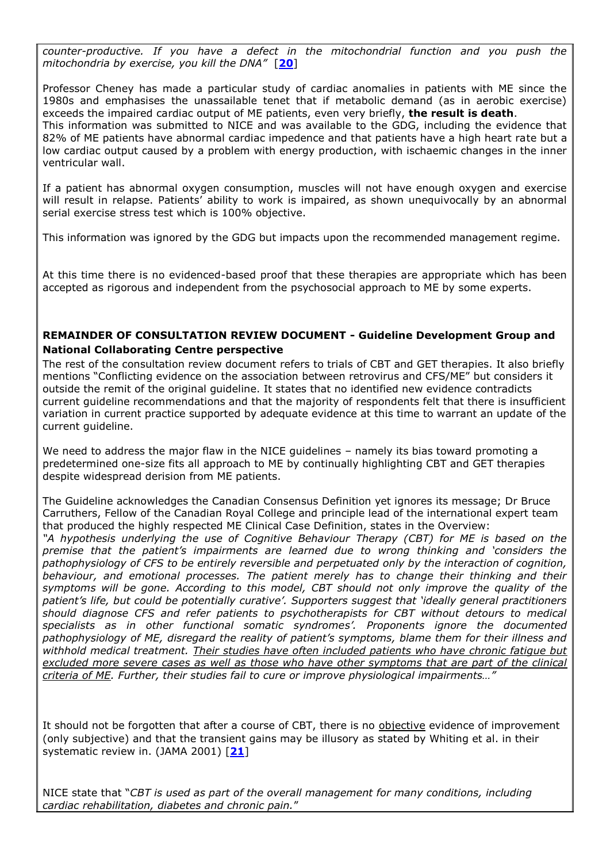*counter-productive. If you have a defect in the mitochondrial function and you push the mitochondria by exercise, you kill the DNA"* [**[20](#page-27-4)**]

Professor Cheney has made a particular study of cardiac anomalies in patients with ME since the 1980s and emphasises the unassailable tenet that if metabolic demand (as in aerobic exercise) exceeds the impaired cardiac output of ME patients, even very briefly, **the result is death**. This information was submitted to NICE and was available to the GDG, including the evidence that 82% of ME patients have abnormal cardiac impedence and that patients have a high heart rate but a low cardiac output caused by a problem with energy production, with ischaemic changes in the inner ventricular wall.

If a patient has abnormal oxygen consumption, muscles will not have enough oxygen and exercise will result in relapse. Patients' ability to work is impaired, as shown unequivocally by an abnormal serial exercise stress test which is 100% objective.

This information was ignored by the GDG but impacts upon the recommended management regime.

At this time there is no evidenced-based proof that these therapies are appropriate which has been accepted as rigorous and independent from the psychosocial approach to ME by some experts.

## **REMAINDER OF CONSULTATION REVIEW DOCUMENT - Guideline Development Group and National Collaborating Centre perspective**

The rest of the consultation review document refers to trials of CBT and GET therapies. It also briefly mentions "Conflicting evidence on the association between retrovirus and CFS/ME" but considers it outside the remit of the original guideline. It states that no identified new evidence contradicts current guideline recommendations and that the majority of respondents felt that there is insufficient variation in current practice supported by adequate evidence at this time to warrant an update of the current guideline.

We need to address the major flaw in the NICE quidelines – namely its bias toward promoting a predetermined one-size fits all approach to ME by continually highlighting CBT and GET therapies despite widespread derision from ME patients.

The Guideline acknowledges the Canadian Consensus Definition yet ignores its message; Dr Bruce Carruthers, Fellow of the Canadian Royal College and principle lead of the international expert team that produced the highly respected ME Clinical Case Definition, states in the Overview:

*"A hypothesis underlying the use of Cognitive Behaviour Therapy (CBT) for ME is based on the premise that the patient"s impairments are learned due to wrong thinking and "considers the pathophysiology of CFS to be entirely reversible and perpetuated only by the interaction of cognition, behaviour, and emotional processes. The patient merely has to change their thinking and their symptoms will be gone. According to this model, CBT should not only improve the quality of the patient"s life, but could be potentially curative". Supporters suggest that "ideally general practitioners should diagnose CFS and refer patients to psychotherapists for CBT without detours to medical specialists as in other functional somatic syndromes". Proponents ignore the documented pathophysiology of ME, disregard the reality of patient"s symptoms, blame them for their illness and withhold medical treatment. Their studies have often included patients who have chronic fatigue but excluded more severe cases as well as those who have other symptoms that are part of the clinical criteria of ME. Further, their studies fail to cure or improve physiological impairments…"*

It should not be forgotten that after a course of CBT, there is no objective evidence of improvement (only subjective) and that the transient gains may be illusory as stated by Whiting et al. in their systematic review in. (JAMA 2001) [**[21](#page-27-5)**]

NICE state that "*CBT is used as part of the overall management for many conditions, including cardiac rehabilitation, diabetes and chronic pain.*"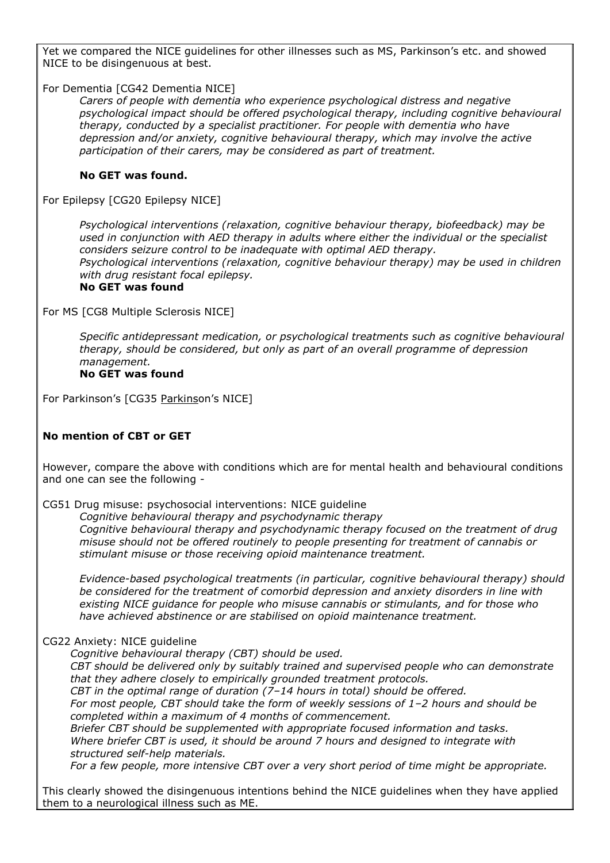Yet we compared the NICE quidelines for other illnesses such as MS, Parkinson's etc. and showed NICE to be disingenuous at best.

For Dementia [CG42 Dementia NICE]

*Carers of people with dementia who experience psychological distress and negative psychological impact should be offered psychological therapy, including cognitive behavioural therapy, conducted by a specialist practitioner. For people with dementia who have depression and/or anxiety, cognitive behavioural therapy, which may involve the active participation of their carers, may be considered as part of treatment.* 

#### **No GET was found.**

For Epilepsy [CG20 Epilepsy NICE]

*Psychological interventions (relaxation, cognitive behaviour therapy, biofeedback) may be used in conjunction with AED therapy in adults where either the individual or the specialist considers seizure control to be inadequate with optimal AED therapy. Psychological interventions (relaxation, cognitive behaviour therapy) may be used in children with drug resistant focal epilepsy.* 

# **No GET was found**

For MS [CG8 Multiple Sclerosis NICE]

*Specific antidepressant medication, or psychological treatments such as cognitive behavioural therapy, should be considered, but only as part of an overall programme of depression management.* 

#### **No GET was found**

For Parkinson's [CG35 Parkinson's NICE]

### **No mention of CBT or GET**

However, compare the above with conditions which are for mental health and behavioural conditions and one can see the following -

CG51 Drug misuse: psychosocial interventions: NICE guideline

*Cognitive behavioural therapy and psychodynamic therapy Cognitive behavioural therapy and psychodynamic therapy focused on the treatment of drug misuse should not be offered routinely to people presenting for treatment of cannabis or stimulant misuse or those receiving opioid maintenance treatment.*

*Evidence-based psychological treatments (in particular, cognitive behavioural therapy) should be considered for the treatment of comorbid depression and anxiety disorders in line with existing NICE guidance for people who misuse cannabis or stimulants, and for those who have achieved abstinence or are stabilised on opioid maintenance treatment.* 

### CG22 Anxiety: NICE guideline

*Cognitive behavioural therapy (CBT) should be used.* 

*CBT should be delivered only by suitably trained and supervised people who can demonstrate that they adhere closely to empirically grounded treatment protocols.* 

*CBT in the optimal range of duration (7–14 hours in total) should be offered.* 

*For most people, CBT should take the form of weekly sessions of 1–2 hours and should be completed within a maximum of 4 months of commencement.* 

*Briefer CBT should be supplemented with appropriate focused information and tasks. Where briefer CBT is used, it should be around 7 hours and designed to integrate with structured self-help materials.* 

*For a few people, more intensive CBT over a very short period of time might be appropriate.* 

This clearly showed the disingenuous intentions behind the NICE guidelines when they have applied them to a neurological illness such as ME.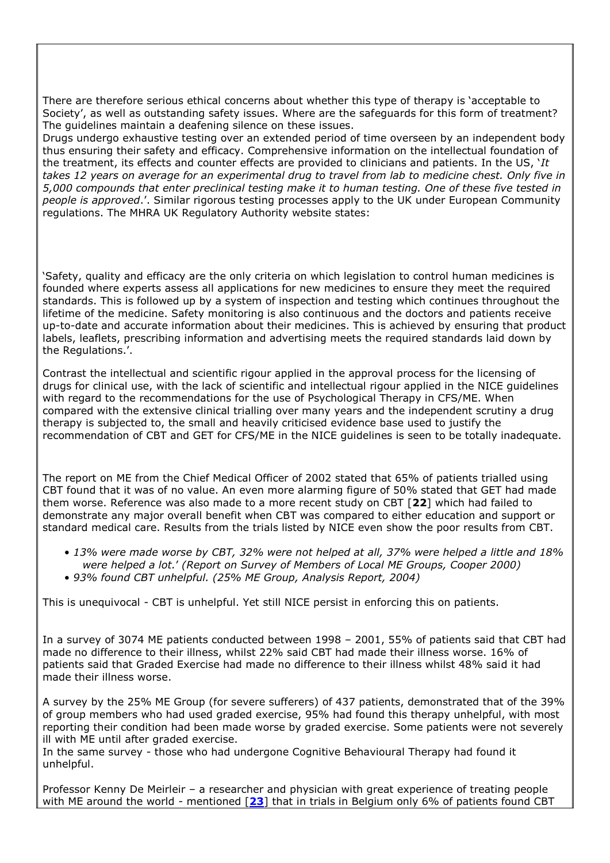There are therefore serious ethical concerns about whether this type of therapy is "acceptable to Society", as well as outstanding safety issues. Where are the safeguards for this form of treatment? The guidelines maintain a deafening silence on these issues.

Drugs undergo exhaustive testing over an extended period of time overseen by an independent body thus ensuring their safety and efficacy. Comprehensive information on the intellectual foundation of the treatment, its effects and counter effects are provided to clinicians and patients. In the US, "*It takes 12 years on average for an experimental drug to travel from lab to medicine chest. Only five in 5,000 compounds that enter preclinical testing make it to human testing. One of these five tested in people is approved*.". Similar rigorous testing processes apply to the UK under European Community regulations. The MHRA UK Regulatory Authority website states:

"Safety, quality and efficacy are the only criteria on which legislation to control human medicines is founded where experts assess all applications for new medicines to ensure they meet the required standards. This is followed up by a system of inspection and testing which continues throughout the lifetime of the medicine. Safety monitoring is also continuous and the doctors and patients receive up-to-date and accurate information about their medicines. This is achieved by ensuring that product labels, leaflets, prescribing information and advertising meets the required standards laid down by the Regulations.'.

Contrast the intellectual and scientific rigour applied in the approval process for the licensing of drugs for clinical use, with the lack of scientific and intellectual rigour applied in the NICE guidelines with regard to the recommendations for the use of Psychological Therapy in CFS/ME. When compared with the extensive clinical trialling over many years and the independent scrutiny a drug therapy is subjected to, the small and heavily criticised evidence base used to justify the recommendation of CBT and GET for CFS/ME in the NICE guidelines is seen to be totally inadequate.

The report on ME from the Chief Medical Officer of 2002 stated that 65% of patients trialled using CBT found that it was of no value. An even more alarming figure of 50% stated that GET had made them worse. Reference was also made to a more recent study on CBT [**22**] which had failed to demonstrate any major overall benefit when CBT was compared to either education and support or standard medical care. Results from the trials listed by NICE even show the poor results from CBT.

- *13% were made worse by CBT, 32% were not helped at all, 37% were helped a little and 18% were helped a lot.*" *(Report on Survey of Members of Local ME Groups, Cooper 2000)*
- *93% found CBT unhelpful. (25% ME Group, Analysis Report, 2004)*

This is unequivocal - CBT is unhelpful. Yet still NICE persist in enforcing this on patients.

In a survey of 3074 ME patients conducted between 1998 – 2001, 55% of patients said that CBT had made no difference to their illness, whilst 22% said CBT had made their illness worse. 16% of patients said that Graded Exercise had made no difference to their illness whilst 48% said it had made their illness worse.

A survey by the 25% ME Group (for severe sufferers) of 437 patients, demonstrated that of the 39% of group members who had used graded exercise, 95% had found this therapy unhelpful, with most reporting their condition had been made worse by graded exercise. Some patients were not severely ill with ME until after graded exercise.

In the same survey - those who had undergone Cognitive Behavioural Therapy had found it unhelpful.

Professor Kenny De Meirleir – a researcher and physician with great experience of treating people with ME around the world - mentioned [**[23](#page-27-6)**] that in trials in Belgium only 6% of patients found CBT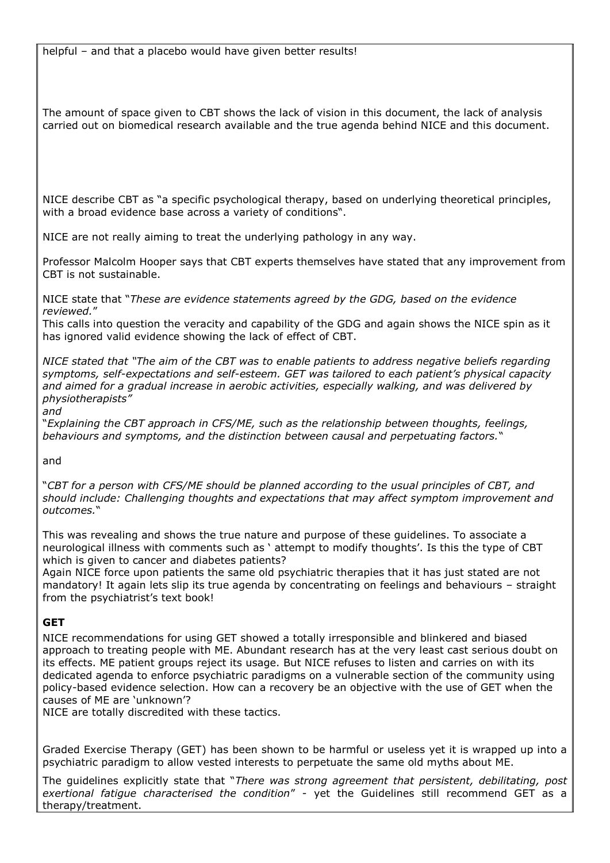The amount of space given to CBT shows the lack of vision in this document, the lack of analysis carried out on biomedical research available and the true agenda behind NICE and this document.

NICE describe CBT as "a specific psychological therapy, based on underlying theoretical principles, with a broad evidence base across a variety of conditions".

NICE are not really aiming to treat the underlying pathology in any way.

Professor Malcolm Hooper says that CBT experts themselves have stated that any improvement from CBT is not sustainable.

NICE state that "*These are evidence statements agreed by the GDG, based on the evidence reviewed.*"

This calls into question the veracity and capability of the GDG and again shows the NICE spin as it has ignored valid evidence showing the lack of effect of CBT.

*NICE stated that "The aim of the CBT was to enable patients to address negative beliefs regarding symptoms, self-expectations and self-esteem. GET was tailored to each patient"s physical capacity and aimed for a gradual increase in aerobic activities, especially walking, and was delivered by physiotherapists"* 

*and* 

"*Explaining the CBT approach in CFS/ME, such as the relationship between thoughts, feelings, behaviours and symptoms, and the distinction between causal and perpetuating factors.*"

and

"*CBT for a person with CFS/ME should be planned according to the usual principles of CBT, and should include: Challenging thoughts and expectations that may affect symptom improvement and outcomes.*"

This was revealing and shows the true nature and purpose of these guidelines. To associate a neurological illness with comments such as " attempt to modify thoughts". Is this the type of CBT which is given to cancer and diabetes patients?

Again NICE force upon patients the same old psychiatric therapies that it has just stated are not mandatory! It again lets slip its true agenda by concentrating on feelings and behaviours – straight from the psychiatrist's text book!

# **GET**

NICE recommendations for using GET showed a totally irresponsible and blinkered and biased approach to treating people with ME. Abundant research has at the very least cast serious doubt on its effects. ME patient groups reject its usage. But NICE refuses to listen and carries on with its dedicated agenda to enforce psychiatric paradigms on a vulnerable section of the community using policy-based evidence selection. How can a recovery be an objective with the use of GET when the causes of ME are 'unknown'?

NICE are totally discredited with these tactics.

Graded Exercise Therapy (GET) has been shown to be harmful or useless yet it is wrapped up into a psychiatric paradigm to allow vested interests to perpetuate the same old myths about ME.

The guidelines explicitly state that "*There was strong agreement that persistent, debilitating, post exertional fatigue characterised the condition*" - yet the Guidelines still recommend GET as a therapy/treatment.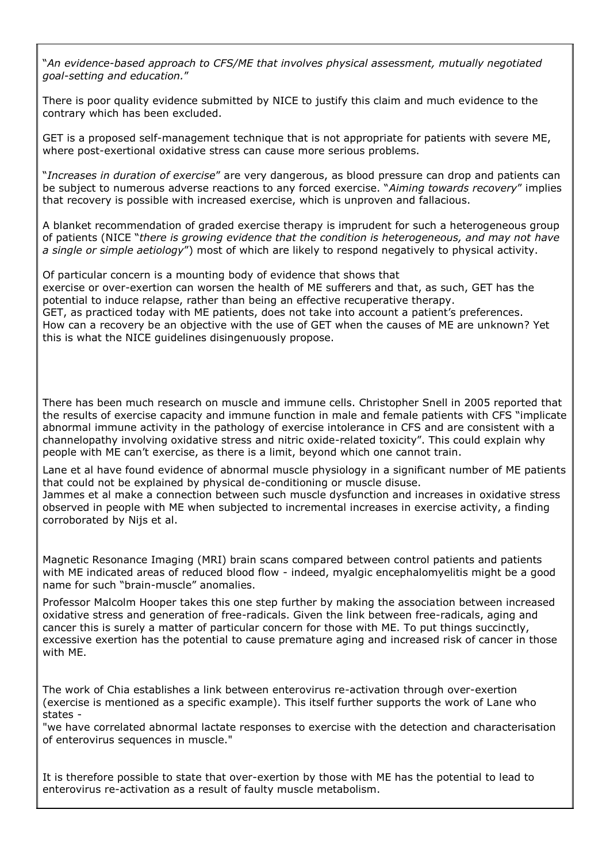"*An evidence-based approach to CFS/ME that involves physical assessment, mutually negotiated goal-setting and education.*"

There is poor quality evidence submitted by NICE to justify this claim and much evidence to the contrary which has been excluded.

GET is a proposed self-management technique that is not appropriate for patients with severe ME, where post-exertional oxidative stress can cause more serious problems.

"*Increases in duration of exercise*" are very dangerous, as blood pressure can drop and patients can be subject to numerous adverse reactions to any forced exercise. "*Aiming towards recovery*" implies that recovery is possible with increased exercise, which is unproven and fallacious.

A blanket recommendation of graded exercise therapy is imprudent for such a heterogeneous group of patients (NICE "*there is growing evidence that the condition is heterogeneous, and may not have a single or simple aetiology*") most of which are likely to respond negatively to physical activity.

Of particular concern is a mounting body of evidence that shows that exercise or over-exertion can worsen the health of ME sufferers and that, as such, GET has the potential to induce relapse, rather than being an effective recuperative therapy. GET, as practiced today with ME patients, does not take into account a patient's preferences. How can a recovery be an objective with the use of GET when the causes of ME are unknown? Yet this is what the NICE guidelines disingenuously propose.

There has been much research on muscle and immune cells. Christopher Snell in 2005 reported that the results of exercise capacity and immune function in male and female patients with CFS "implicate abnormal immune activity in the pathology of exercise intolerance in CFS and are consistent with a channelopathy involving oxidative stress and nitric oxide-related toxicity". This could explain why people with ME can"t exercise, as there is a limit, beyond which one cannot train.

Lane et al have found evidence of abnormal muscle physiology in a significant number of ME patients that could not be explained by physical de-conditioning or muscle disuse.

Jammes et al make a connection between such muscle dysfunction and increases in oxidative stress observed in people with ME when subjected to incremental increases in exercise activity, a finding corroborated by Nijs et al.

Magnetic Resonance Imaging (MRI) brain scans compared between control patients and patients with ME indicated areas of reduced blood flow - indeed, myalgic encephalomyelitis might be a good name for such "brain-muscle" anomalies.

Professor Malcolm Hooper takes this one step further by making the association between increased oxidative stress and generation of free-radicals. Given the link between free-radicals, aging and cancer this is surely a matter of particular concern for those with ME. To put things succinctly, excessive exertion has the potential to cause premature aging and increased risk of cancer in those with ME.

The work of Chia establishes a link between enterovirus re-activation through over-exertion (exercise is mentioned as a specific example). This itself further supports the work of Lane who states -

"we have correlated abnormal lactate responses to exercise with the detection and characterisation of enterovirus sequences in muscle."

It is therefore possible to state that over-exertion by those with ME has the potential to lead to enterovirus re-activation as a result of faulty muscle metabolism.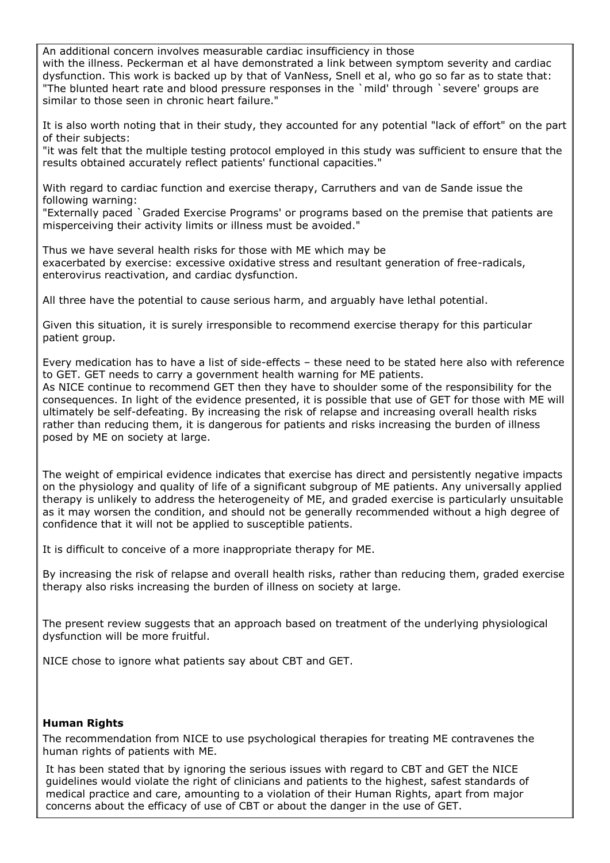An additional concern involves measurable cardiac insufficiency in those with the illness. Peckerman et al have demonstrated a link between symptom severity and cardiac dysfunction. This work is backed up by that of VanNess, Snell et al, who go so far as to state that: "The blunted heart rate and blood pressure responses in the `mild' through `severe' groups are similar to those seen in chronic heart failure."

It is also worth noting that in their study, they accounted for any potential "lack of effort" on the part of their subjects:

"it was felt that the multiple testing protocol employed in this study was sufficient to ensure that the results obtained accurately reflect patients' functional capacities."

With regard to cardiac function and exercise therapy, Carruthers and van de Sande issue the following warning:

"Externally paced `Graded Exercise Programs' or programs based on the premise that patients are misperceiving their activity limits or illness must be avoided."

Thus we have several health risks for those with ME which may be exacerbated by exercise: excessive oxidative stress and resultant generation of free-radicals, enterovirus reactivation, and cardiac dysfunction.

All three have the potential to cause serious harm, and arguably have lethal potential.

Given this situation, it is surely irresponsible to recommend exercise therapy for this particular patient group.

Every medication has to have a list of side-effects – these need to be stated here also with reference to GET. GET needs to carry a government health warning for ME patients. As NICE continue to recommend GET then they have to shoulder some of the responsibility for the consequences. In light of the evidence presented, it is possible that use of GET for those with ME will ultimately be self-defeating. By increasing the risk of relapse and increasing overall health risks rather than reducing them, it is dangerous for patients and risks increasing the burden of illness posed by ME on society at large.

The weight of empirical evidence indicates that exercise has direct and persistently negative impacts on the physiology and quality of life of a significant subgroup of ME patients. Any universally applied therapy is unlikely to address the heterogeneity of ME, and graded exercise is particularly unsuitable as it may worsen the condition, and should not be generally recommended without a high degree of confidence that it will not be applied to susceptible patients.

It is difficult to conceive of a more inappropriate therapy for ME.

By increasing the risk of relapse and overall health risks, rather than reducing them, graded exercise therapy also risks increasing the burden of illness on society at large.

The present review suggests that an approach based on treatment of the underlying physiological dysfunction will be more fruitful.

NICE chose to ignore what patients say about CBT and GET.

### **Human Rights**

The recommendation from NICE to use psychological therapies for treating ME contravenes the human rights of patients with ME.

It has been stated that by ignoring the serious issues with regard to CBT and GET the NICE guidelines would violate the right of clinicians and patients to the highest, safest standards of medical practice and care, amounting to a violation of their Human Rights, apart from major concerns about the efficacy of use of CBT or about the danger in the use of GET.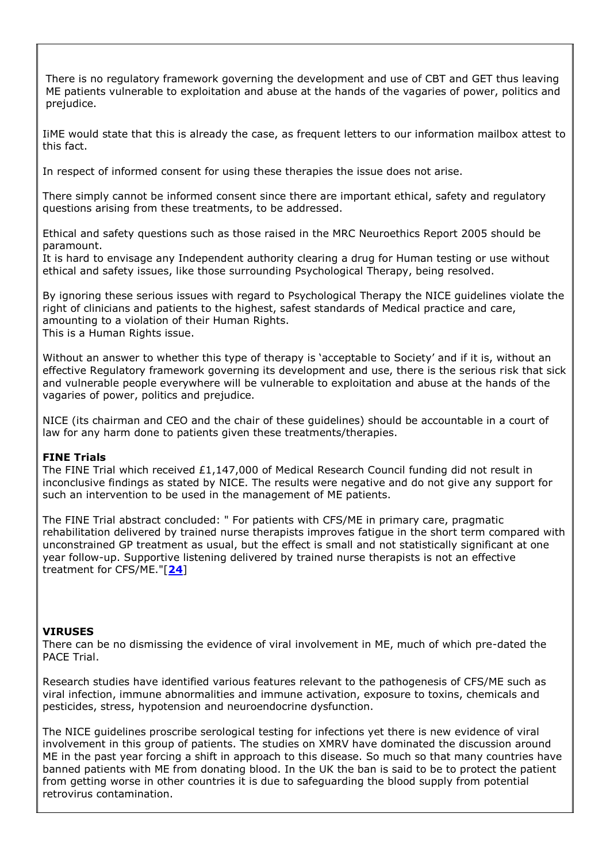There is no regulatory framework governing the development and use of CBT and GET thus leaving ME patients vulnerable to exploitation and abuse at the hands of the vagaries of power, politics and prejudice.

IiME would state that this is already the case, as frequent letters to our information mailbox attest to this fact.

In respect of informed consent for using these therapies the issue does not arise.

There simply cannot be informed consent since there are important ethical, safety and regulatory questions arising from these treatments, to be addressed.

Ethical and safety questions such as those raised in the MRC Neuroethics Report 2005 should be paramount.

It is hard to envisage any Independent authority clearing a drug for Human testing or use without ethical and safety issues, like those surrounding Psychological Therapy, being resolved.

By ignoring these serious issues with regard to Psychological Therapy the NICE guidelines violate the right of clinicians and patients to the highest, safest standards of Medical practice and care, amounting to a violation of their Human Rights. This is a Human Rights issue.

Without an answer to whether this type of therapy is "acceptable to Society" and if it is, without an effective Regulatory framework governing its development and use, there is the serious risk that sick and vulnerable people everywhere will be vulnerable to exploitation and abuse at the hands of the vagaries of power, politics and prejudice.

NICE (its chairman and CEO and the chair of these guidelines) should be accountable in a court of law for any harm done to patients given these treatments/therapies.

#### **FINE Trials**

The FINE Trial which received £1,147,000 of Medical Research Council funding did not result in inconclusive findings as stated by NICE. The results were negative and do not give any support for such an intervention to be used in the management of ME patients.

The FINE Trial abstract concluded: " For patients with CFS/ME in primary care, pragmatic rehabilitation delivered by trained nurse therapists improves fatigue in the short term compared with unconstrained GP treatment as usual, but the effect is small and not statistically significant at one year follow-up. Supportive listening delivered by trained nurse therapists is not an effective treatment for CFS/ME."[**[24](#page-27-7)**]

#### **VIRUSES**

There can be no dismissing the evidence of viral involvement in ME, much of which pre-dated the PACE Trial.

Research studies have identified various features relevant to the pathogenesis of CFS/ME such as viral infection, immune abnormalities and immune activation, exposure to toxins, chemicals and pesticides, stress, hypotension and neuroendocrine dysfunction.

The NICE guidelines proscribe serological testing for infections yet there is new evidence of viral involvement in this group of patients. The studies on XMRV have dominated the discussion around ME in the past year forcing a shift in approach to this disease. So much so that many countries have banned patients with ME from donating blood. In the UK the ban is said to be to protect the patient from getting worse in other countries it is due to safeguarding the blood supply from potential retrovirus contamination.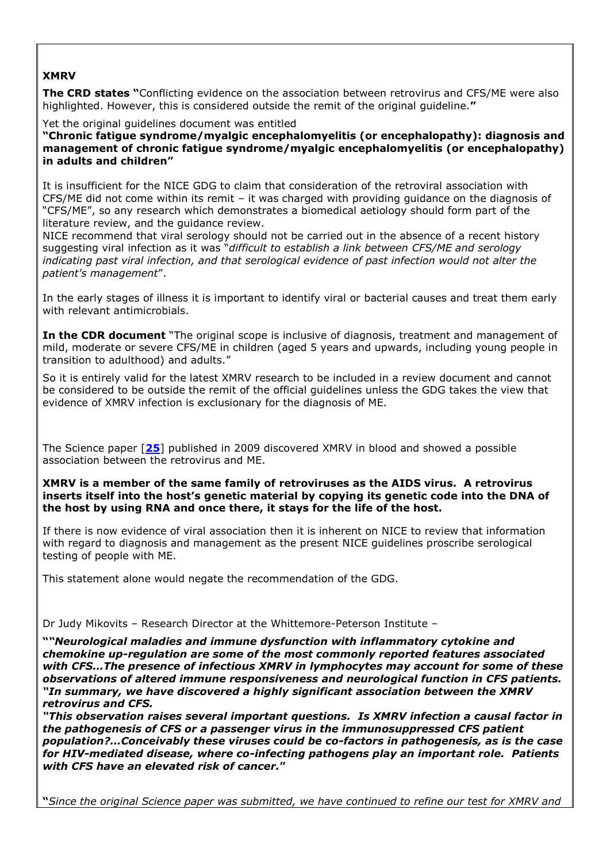# **XMRV**

**The CRD states "**Conflicting evidence on the association between retrovirus and CFS/ME were also highlighted. However, this is considered outside the remit of the original guideline.**"**

Yet the original quidelines document was entitled

**"Chronic fatigue syndrome/myalgic encephalomyelitis (or encephalopathy): diagnosis and management of chronic fatigue syndrome/myalgic encephalomyelitis (or encephalopathy) in adults and children"**

It is insufficient for the NICE GDG to claim that consideration of the retroviral association with CFS/ME did not come within its remit – it was charged with providing guidance on the diagnosis of "CFS/ME", so any research which demonstrates a biomedical aetiology should form part of the literature review, and the guidance review.

NICE recommend that viral serology should not be carried out in the absence of a recent history suggesting viral infection as it was "*difficult to establish a link between CFS/ME and serology indicating past viral infection, and that serological evidence of past infection would not alter the patient's management*".

In the early stages of illness it is important to identify viral or bacterial causes and treat them early with relevant antimicrobials.

**In the CDR document** "The original scope is inclusive of diagnosis, treatment and management of mild, moderate or severe CFS/ME in children (aged 5 years and upwards, including young people in transition to adulthood) and adults."

So it is entirely valid for the latest XMRV research to be included in a review document and cannot be considered to be outside the remit of the official guidelines unless the GDG takes the view that evidence of XMRV infection is exclusionary for the diagnosis of ME.

The Science paper [**[25](#page-27-8)**] published in 2009 discovered XMRV in blood and showed a possible association between the retrovirus and ME.

**XMRV is a member of the same family of retroviruses as the AIDS virus. A retrovirus inserts itself into the host's genetic material by copying its genetic code into the DNA of the host by using RNA and once there, it stays for the life of the host.**

If there is now evidence of viral association then it is inherent on NICE to review that information with regard to diagnosis and management as the present NICE guidelines proscribe serological testing of people with ME.

This statement alone would negate the recommendation of the GDG.

Dr Judy Mikovits – Research Director at the Whittemore-Peterson Institute –

**"***"Neurological maladies and immune dysfunction with inflammatory cytokine and chemokine up-regulation are some of the most commonly reported features associated with CFS…The presence of infectious XMRV in lymphocytes may account for some of these observations of altered immune responsiveness and neurological function in CFS patients. "In summary, we have discovered a highly significant association between the XMRV retrovirus and CFS.*

*"This observation raises several important questions. Is XMRV infection a causal factor in the pathogenesis of CFS or a passenger virus in the immunosuppressed CFS patient population?…Conceivably these viruses could be co-factors in pathogenesis, as is the case for HIV-mediated disease, where co-infecting pathogens play an important role. Patients with CFS have an elevated risk of cancer.***"**

**"***Since the original Science paper was submitted, we have continued to refine our test for XMRV and*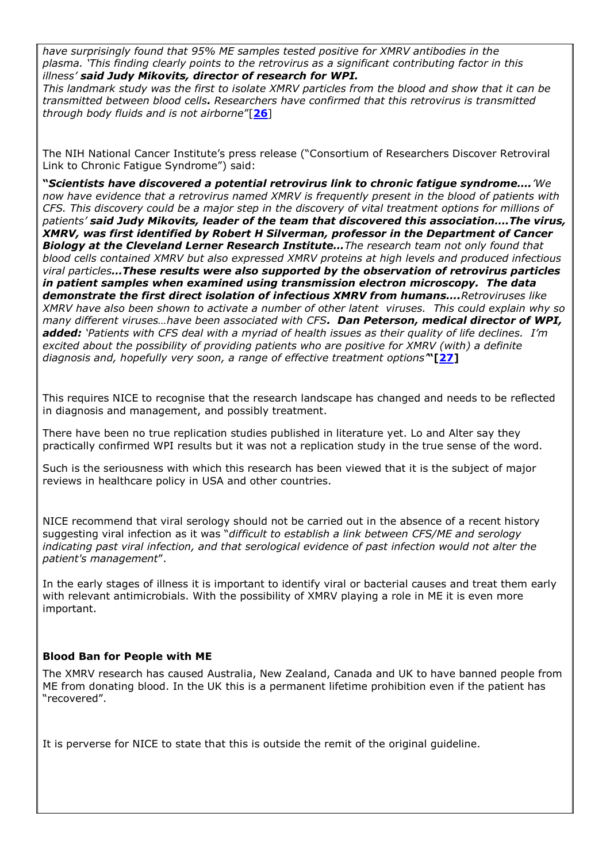*have surprisingly found that 95% ME samples tested positive for XMRV antibodies in the plasma. "This finding clearly points to the retrovirus as a significant contributing factor in this illness" said Judy Mikovits, director of research for WPI.*

*This landmark study was the first to isolate XMRV particles from the blood and show that it can be transmitted between blood cells. Researchers have confirmed that this retrovirus is transmitted through body fluids and is not airborne*"[**[26](#page-27-9)**]

The NIH National Cancer Institute"s press release ("Consortium of Researchers Discover Retroviral Link to Chronic Fatigue Syndrome") said:

**"***Scientists have discovered a potential retrovirus link to chronic fatigue syndrome…."We now have evidence that a retrovirus named XMRV is frequently present in the blood of patients with CFS. This discovery could be a major step in the discovery of vital treatment options for millions of patients" said Judy Mikovits, leader of the team that discovered this association….The virus, XMRV, was first identified by Robert H Silverman, professor in the Department of Cancer Biology at the Cleveland Lerner Research Institute…The research team not only found that blood cells contained XMRV but also expressed XMRV proteins at high levels and produced infectious viral particles…These results were also supported by the observation of retrovirus particles in patient samples when examined using transmission electron microscopy. The data demonstrate the first direct isolation of infectious XMRV from humans….Retroviruses like XMRV have also been shown to activate a number of other latent viruses. This could explain why so many different viruses…have been associated with CFS. Dan Peterson, medical director of WPI, added: "Patients with CFS deal with a myriad of health issues as their quality of life declines. I"m excited about the possibility of providing patients who are positive for XMRV (with) a definite diagnosis and, hopefully very soon, a range of effective treatment options"***"[[27\]](#page-27-10)**

This requires NICE to recognise that the research landscape has changed and needs to be reflected in diagnosis and management, and possibly treatment.

There have been no true replication studies published in literature yet. Lo and Alter say they practically confirmed WPI results but it was not a replication study in the true sense of the word.

Such is the seriousness with which this research has been viewed that it is the subject of major reviews in healthcare policy in USA and other countries.

NICE recommend that viral serology should not be carried out in the absence of a recent history suggesting viral infection as it was "*difficult to establish a link between CFS/ME and serology indicating past viral infection, and that serological evidence of past infection would not alter the patient's management*".

In the early stages of illness it is important to identify viral or bacterial causes and treat them early with relevant antimicrobials. With the possibility of XMRV playing a role in ME it is even more important.

### **Blood Ban for People with ME**

The XMRV research has caused Australia, New Zealand, Canada and UK to have banned people from ME from donating blood. In the UK this is a permanent lifetime prohibition even if the patient has "recovered".

It is perverse for NICE to state that this is outside the remit of the original guideline.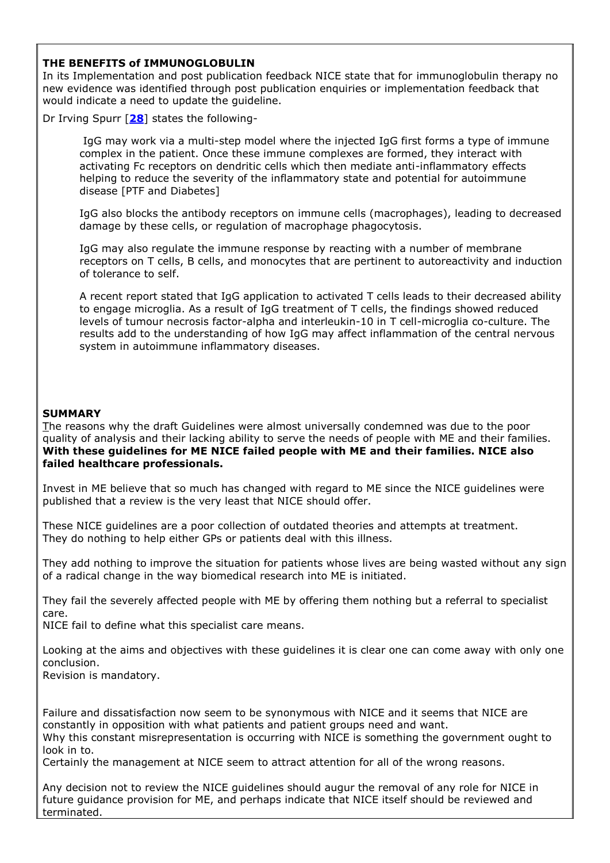#### **THE BENEFITS of IMMUNOGLOBULIN**

In its Implementation and post publication feedback NICE state that for immunoglobulin therapy no new evidence was identified through post publication enquiries or implementation feedback that would indicate a need to update the guideline.

Dr Irving Spurr [**[28](#page-27-11)**] states the following-

IgG may work via a multi-step model where the injected IgG first forms a type of immune complex in the patient. Once these immune complexes are formed, they interact with activating Fc receptors on dendritic cells which then mediate anti-inflammatory effects helping to reduce the severity of the inflammatory state and potential for autoimmune disease [PTF and Diabetes]

IgG also blocks the antibody receptors on immune cells (macrophages), leading to decreased damage by these cells, or regulation of macrophage phagocytosis.

IgG may also regulate the immune response by reacting with a number of membrane receptors on T cells, B cells, and monocytes that are pertinent to autoreactivity and induction of tolerance to self.

A recent report stated that IgG application to activated T cells leads to their decreased ability to engage microglia. As a result of IgG treatment of T cells, the findings showed reduced levels of tumour necrosis factor-alpha and interleukin-10 in T cell-microglia co-culture. The results add to the understanding of how IgG may affect inflammation of the central nervous system in autoimmune inflammatory diseases.

#### **SUMMARY**

The reasons why the draft Guidelines were almost universally condemned was due to the poor quality of analysis and their lacking ability to serve the needs of people with ME and their families. **With these guidelines for ME NICE failed people with ME and their families. NICE also failed healthcare professionals.** 

Invest in ME believe that so much has changed with regard to ME since the NICE guidelines were published that a review is the very least that NICE should offer.

These NICE guidelines are a poor collection of outdated theories and attempts at treatment. They do nothing to help either GPs or patients deal with this illness.

They add nothing to improve the situation for patients whose lives are being wasted without any sign of a radical change in the way biomedical research into ME is initiated.

They fail the severely affected people with ME by offering them nothing but a referral to specialist care.

NICE fail to define what this specialist care means.

Looking at the aims and objectives with these guidelines it is clear one can come away with only one conclusion.

Revision is mandatory.

Failure and dissatisfaction now seem to be synonymous with NICE and it seems that NICE are constantly in opposition with what patients and patient groups need and want.

Why this constant misrepresentation is occurring with NICE is something the government ought to look in to.

Certainly the management at NICE seem to attract attention for all of the wrong reasons.

Any decision not to review the NICE guidelines should augur the removal of any role for NICE in future guidance provision for ME, and perhaps indicate that NICE itself should be reviewed and terminated.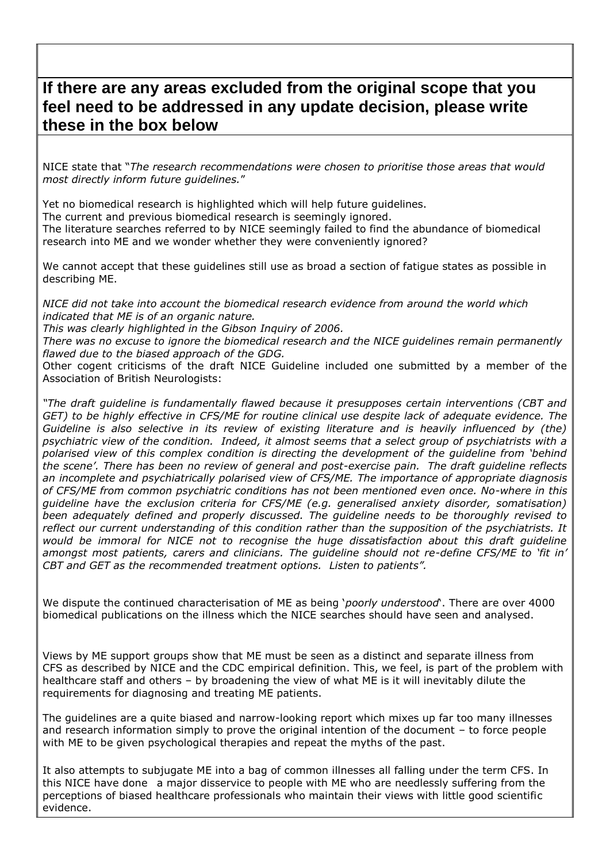# **If there are any areas excluded from the original scope that you feel need to be addressed in any update decision, please write these in the box below**

NICE state that "*The research recommendations were chosen to prioritise those areas that would most directly inform future guidelines.*"

Yet no biomedical research is highlighted which will help future guidelines. The current and previous biomedical research is seemingly ignored. The literature searches referred to by NICE seemingly failed to find the abundance of biomedical research into ME and we wonder whether they were conveniently ignored?

We cannot accept that these guidelines still use as broad a section of fatigue states as possible in describing ME.

*NICE did not take into account the biomedical research evidence from around the world which indicated that ME is of an organic nature.*

*This was clearly highlighted in the Gibson Inquiry of 2006.*

*There was no excuse to ignore the biomedical research and the NICE guidelines remain permanently flawed due to the biased approach of the GDG.*

Other cogent criticisms of the draft NICE Guideline included one submitted by a member of the Association of British Neurologists:

*"The draft guideline is fundamentally flawed because it presupposes certain interventions (CBT and GET) to be highly effective in CFS/ME for routine clinical use despite lack of adequate evidence. The Guideline is also selective in its review of existing literature and is heavily influenced by (the) psychiatric view of the condition. Indeed, it almost seems that a select group of psychiatrists with a polarised view of this complex condition is directing the development of the guideline from "behind the scene". There has been no review of general and post-exercise pain. The draft guideline reflects an incomplete and psychiatrically polarised view of CFS/ME. The importance of appropriate diagnosis of CFS/ME from common psychiatric conditions has not been mentioned even once. No-where in this guideline have the exclusion criteria for CFS/ME (e.g. generalised anxiety disorder, somatisation) been adequately defined and properly discussed. The guideline needs to be thoroughly revised to reflect our current understanding of this condition rather than the supposition of the psychiatrists. It would be immoral for NICE not to recognise the huge dissatisfaction about this draft guideline amongst most patients, carers and clinicians. The guideline should not re-define CFS/ME to "fit in" CBT and GET as the recommended treatment options. Listen to patients".*

We dispute the continued characterisation of ME as being "*poorly understood*". There are over 4000 biomedical publications on the illness which the NICE searches should have seen and analysed.

Views by ME support groups show that ME must be seen as a distinct and separate illness from CFS as described by NICE and the CDC empirical definition. This, we feel, is part of the problem with healthcare staff and others – by broadening the view of what ME is it will inevitably dilute the requirements for diagnosing and treating ME patients.

The guidelines are a quite biased and narrow-looking report which mixes up far too many illnesses and research information simply to prove the original intention of the document – to force people with ME to be given psychological therapies and repeat the myths of the past.

It also attempts to subjugate ME into a bag of common illnesses all falling under the term CFS. In this NICE have done a major disservice to people with ME who are needlessly suffering from the perceptions of biased healthcare professionals who maintain their views with little good scientific evidence.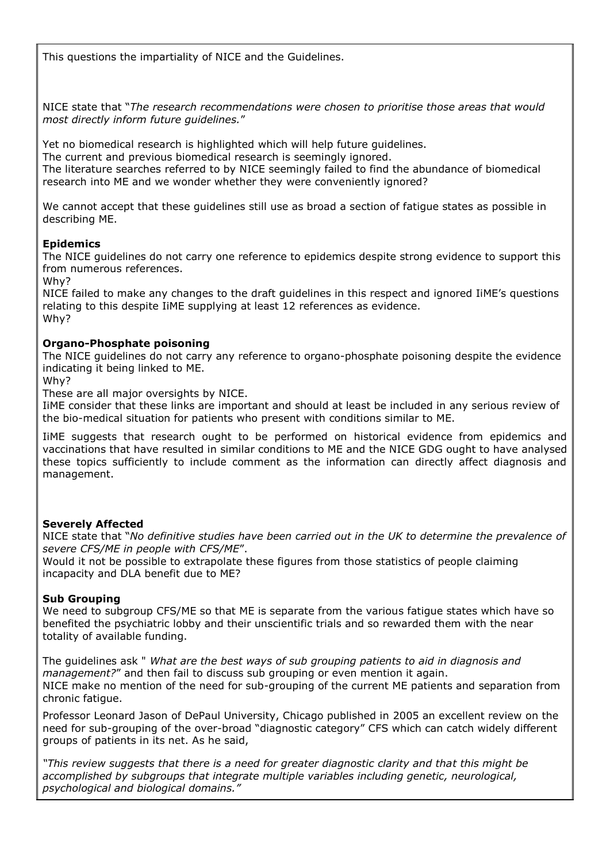This questions the impartiality of NICE and the Guidelines.

NICE state that "*The research recommendations were chosen to prioritise those areas that would most directly inform future guidelines.*"

Yet no biomedical research is highlighted which will help future guidelines. The current and previous biomedical research is seemingly ignored. The literature searches referred to by NICE seemingly failed to find the abundance of biomedical research into ME and we wonder whether they were conveniently ignored?

We cannot accept that these guidelines still use as broad a section of fatigue states as possible in describing ME.

#### **Epidemics**

The NICE guidelines do not carry one reference to epidemics despite strong evidence to support this from numerous references.

Why?

NICE failed to make any changes to the draft guidelines in this respect and ignored IiME"s questions relating to this despite IiME supplying at least 12 references as evidence. Why?

#### **Organo-Phosphate poisoning**

The NICE guidelines do not carry any reference to organo-phosphate poisoning despite the evidence indicating it being linked to ME.

Why?

These are all major oversights by NICE.

IiME consider that these links are important and should at least be included in any serious review of the bio-medical situation for patients who present with conditions similar to ME.

IiME suggests that research ought to be performed on historical evidence from epidemics and vaccinations that have resulted in similar conditions to ME and the NICE GDG ought to have analysed these topics sufficiently to include comment as the information can directly affect diagnosis and management.

#### **Severely Affected**

NICE state that "*No definitive studies have been carried out in the UK to determine the prevalence of severe CFS/ME in people with CFS/ME*".

Would it not be possible to extrapolate these figures from those statistics of people claiming incapacity and DLA benefit due to ME?

#### **Sub Grouping**

We need to subgroup CFS/ME so that ME is separate from the various fatigue states which have so benefited the psychiatric lobby and their unscientific trials and so rewarded them with the near totality of available funding.

The guidelines ask " *What are the best ways of sub grouping patients to aid in diagnosis and management?*" and then fail to discuss sub grouping or even mention it again. NICE make no mention of the need for sub-grouping of the current ME patients and separation from chronic fatigue.

Professor Leonard Jason of DePaul University, Chicago published in 2005 an excellent review on the need for sub-grouping of the over-broad "diagnostic category" CFS which can catch widely different groups of patients in its net. As he said,

*"This review suggests that there is a need for greater diagnostic clarity and that this might be accomplished by subgroups that integrate multiple variables including genetic, neurological, psychological and biological domains."*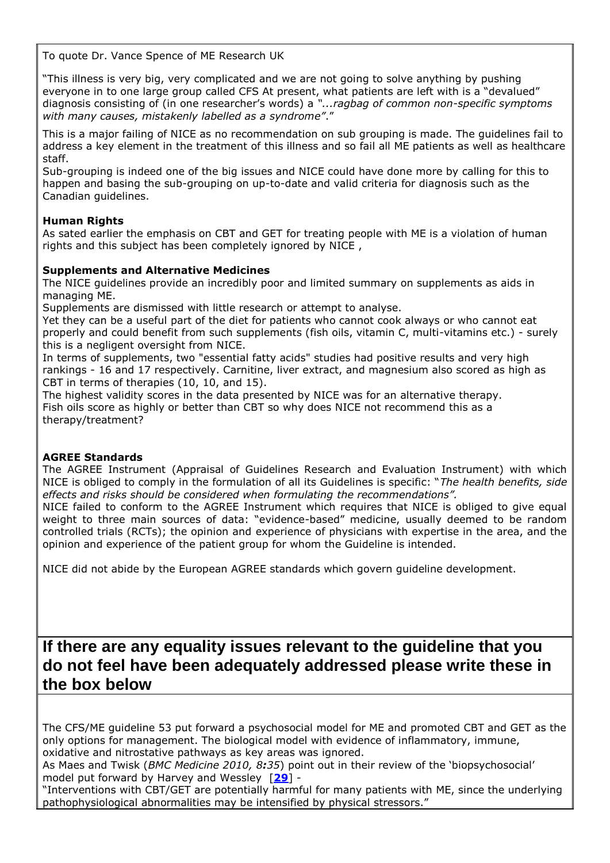To quote Dr. Vance Spence of ME Research UK

"This illness is very big, very complicated and we are not going to solve anything by pushing everyone in to one large group called CFS At present, what patients are left with is a "devalued" diagnosis consisting of (in one researcher"s words) a *"...ragbag of common non-specific symptoms with many causes, mistakenly labelled as a syndrome"*."

This is a major failing of NICE as no recommendation on sub grouping is made. The guidelines fail to address a key element in the treatment of this illness and so fail all ME patients as well as healthcare staff.

Sub-grouping is indeed one of the big issues and NICE could have done more by calling for this to happen and basing the sub-grouping on up-to-date and valid criteria for diagnosis such as the Canadian guidelines.

# **Human Rights**

As sated earlier the emphasis on CBT and GET for treating people with ME is a violation of human rights and this subject has been completely ignored by NICE ,

# **Supplements and Alternative Medicines**

The NICE guidelines provide an incredibly poor and limited summary on supplements as aids in managing ME.

Supplements are dismissed with little research or attempt to analyse.

Yet they can be a useful part of the diet for patients who cannot cook always or who cannot eat properly and could benefit from such supplements (fish oils, vitamin C, multi-vitamins etc.) - surely this is a negligent oversight from NICE.

In terms of supplements, two "essential fatty acids" studies had positive results and very high rankings - 16 and 17 respectively. Carnitine, liver extract, and magnesium also scored as high as CBT in terms of therapies (10, 10, and 15).

The highest validity scores in the data presented by NICE was for an alternative therapy. Fish oils score as highly or better than CBT so why does NICE not recommend this as a therapy/treatment?

### **AGREE Standards**

The AGREE Instrument (Appraisal of Guidelines Research and Evaluation Instrument) with which NICE is obliged to comply in the formulation of all its Guidelines is specific: "*The health benefits, side effects and risks should be considered when formulating the recommendations".* 

NICE failed to conform to the AGREE Instrument which requires that NICE is obliged to give equal weight to three main sources of data: "evidence-based" medicine, usually deemed to be random controlled trials (RCTs); the opinion and experience of physicians with expertise in the area, and the opinion and experience of the patient group for whom the Guideline is intended.

NICE did not abide by the European AGREE standards which govern guideline development.

**If there are any equality issues relevant to the guideline that you do not feel have been adequately addressed please write these in the box below**

The CFS/ME guideline 53 put forward a psychosocial model for ME and promoted CBT and GET as the only options for management. The biological model with evidence of inflammatory, immune, oxidative and nitrostative pathways as key areas was ignored.

As Maes and Twisk (*BMC Medicine 2010, 8:35*) point out in their review of the "biopsychosocial" model put forward by Harvey and Wessley [**[29](#page-28-1)**] -

"Interventions with CBT/GET are potentially harmful for many patients with ME, since the underlying pathophysiological abnormalities may be intensified by physical stressors."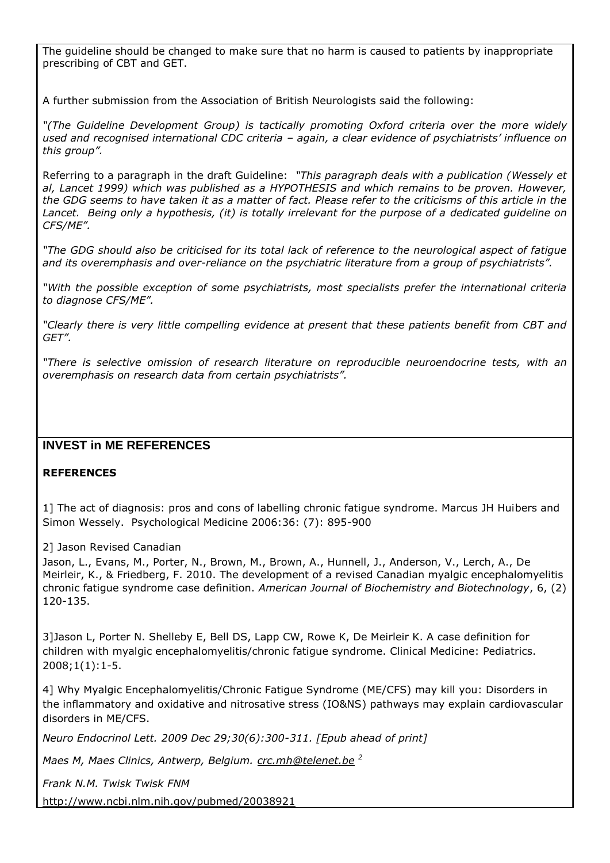The guideline should be changed to make sure that no harm is caused to patients by inappropriate prescribing of CBT and GET.

A further submission from the Association of British Neurologists said the following:

*"(The Guideline Development Group) is tactically promoting Oxford criteria over the more widely used and recognised international CDC criteria – again, a clear evidence of psychiatrists" influence on this group".*

Referring to a paragraph in the draft Guideline: *"This paragraph deals with a publication (Wessely et al, Lancet 1999) which was published as a HYPOTHESIS and which remains to be proven. However, the GDG seems to have taken it as a matter of fact. Please refer to the criticisms of this article in the Lancet. Being only a hypothesis, (it) is totally irrelevant for the purpose of a dedicated guideline on CFS/ME".*

*"The GDG should also be criticised for its total lack of reference to the neurological aspect of fatigue and its overemphasis and over-reliance on the psychiatric literature from a group of psychiatrists".*

*"With the possible exception of some psychiatrists, most specialists prefer the international criteria to diagnose CFS/ME".*

*"Clearly there is very little compelling evidence at present that these patients benefit from CBT and GET".*

*"There is selective omission of research literature on reproducible neuroendocrine tests, with an overemphasis on research data from certain psychiatrists".*

# **INVEST in ME REFERENCES**

# **REFERENCES**

<span id="page-25-0"></span>1] The act of diagnosis: pros and cons of labelling chronic fatigue syndrome. Marcus JH Huibers and Simon Wessely. Psychological Medicine 2006:36: (7): 895-900

<span id="page-25-1"></span>2] Jason Revised Canadian

Jason, L., Evans, M., Porter, N., Brown, M., Brown, A., Hunnell, J., Anderson, V., Lerch, A., De Meirleir, K., & Friedberg, F. 2010. The development of a revised Canadian myalgic encephalomyelitis chronic fatigue syndrome case definition. *American Journal of Biochemistry and Biotechnology*, 6, (2) 120-135.

<span id="page-25-2"></span>3]Jason L, Porter N. Shelleby E, Bell DS, Lapp CW, Rowe K, De Meirleir K. A case definition for children with myalgic encephalomyelitis/chronic fatigue syndrome. Clinical Medicine: Pediatrics. 2008;1(1):1-5.

<span id="page-25-3"></span>4] Why Myalgic Encephalomyelitis/Chronic Fatigue Syndrome (ME/CFS) may kill you: Disorders in the inflammatory and oxidative and nitrosative stress (IO&NS) pathways may explain cardiovascular disorders in ME/CFS.

*Neuro Endocrinol Lett. 2009 Dec 29;30(6):300-311. [Epub ahead of print]*

*Maes M, Maes Clinics, Antwerp, Belgium. [crc.mh@telenet.be](mailto:crc.mh@telenet.be) <sup>2</sup>*

*Frank N.M. Twisk Twisk FNM*

<http://www.ncbi.nlm.nih.gov/pubmed/20038921>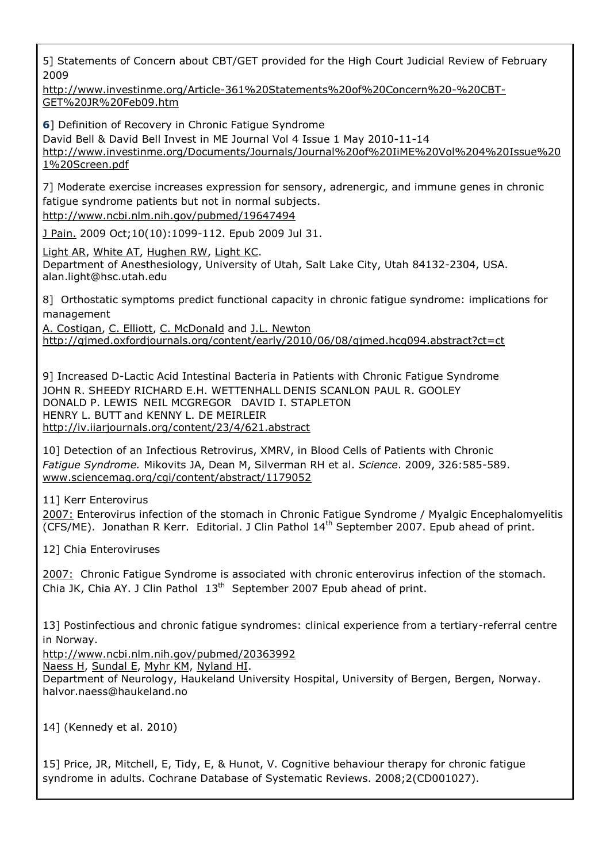<span id="page-26-1"></span>5] Statements of Concern about CBT/GET provided for the High Court Judicial Review of February 2009

[http://www.investinme.org/Article-361%20Statements%20of%20Concern%20-%20CBT-](http://www.investinme.org/Article-361%20Statements%20of%20Concern%20-%20CBT-GET%20JR%20Feb09.htm)[GET%20JR%20Feb09.htm](http://www.investinme.org/Article-361%20Statements%20of%20Concern%20-%20CBT-GET%20JR%20Feb09.htm)

<span id="page-26-0"></span>**6**] Definition of Recovery in Chronic Fatigue Syndrome David Bell & David Bell Invest in ME Journal Vol 4 Issue 1 May 2010-11-14 [http://www.investinme.org/Documents/Journals/Journal%20of%20IiME%20Vol%204%20Issue%20](http://www.investinme.org/Documents/Journals/Journal%20of%20IiME%20Vol%204%20Issue%201%20Screen.pdf) [1%20Screen.pdf](http://www.investinme.org/Documents/Journals/Journal%20of%20IiME%20Vol%204%20Issue%201%20Screen.pdf)

<span id="page-26-2"></span>7] Moderate exercise increases expression for sensory, adrenergic, and immune genes in chronic fatigue syndrome patients but not in normal subjects.

<http://www.ncbi.nlm.nih.gov/pubmed/19647494>

[J Pain.](http://www.ncbi.nlm.nih.gov/pubmed/19647494) 2009 Oct;10(10):1099-112. Epub 2009 Jul 31.

[Light AR,](http://www.ncbi.nlm.nih.gov/pubmed?term=%22Light%20AR%22%5bAuthor%5d) [White AT,](http://www.ncbi.nlm.nih.gov/pubmed?term=%22White%20AT%22%5bAuthor%5d) [Hughen RW,](http://www.ncbi.nlm.nih.gov/pubmed?term=%22Hughen%20RW%22%5bAuthor%5d) [Light KC.](http://www.ncbi.nlm.nih.gov/pubmed?term=%22Light%20KC%22%5bAuthor%5d) Department of Anesthesiology, University of Utah, Salt Lake City, Utah 84132-2304, USA. alan.light@hsc.utah.edu

<span id="page-26-3"></span>8] Orthostatic symptoms predict functional capacity in chronic fatigue syndrome: implications for management

A. [Costigan,](http://qjmed.oxfordjournals.org/search?author1=A.+Costigan&sortspec=date&submit=Submit) C. [Elliott,](http://qjmed.oxfordjournals.org/search?author1=C.+Elliott&sortspec=date&submit=Submit) C. [McDonald](http://qjmed.oxfordjournals.org/search?author1=C.+McDonald&sortspec=date&submit=Submit) and J.L. [Newton](http://qjmed.oxfordjournals.org/search?author1=J.L.+Newton&sortspec=date&submit=Submit) <http://qjmed.oxfordjournals.org/content/early/2010/06/08/qjmed.hcq094.abstract?ct=ct>

<span id="page-26-4"></span>9] Increased D-Lactic Acid Intestinal Bacteria in Patients with Chronic Fatigue Syndrome JOHN R. [SHEEDY](http://iv.iiarjournals.org/search?author1=JOHN+R.+SHEEDY&sortspec=date&submit=Submit) RICHARD E.H. [WETTENHALL](http://iv.iiarjournals.org/search?author1=RICHARD+E.H.+WETTENHALL&sortspec=date&submit=Submit) DENIS SCANLON PAUL R. [GOOLEY](http://iv.iiarjournals.org/search?author1=PAUL+R.+GOOLEY&sortspec=date&submit=Submit) [DONALD](http://iv.iiarjournals.org/search?author1=DONALD+P.+LEWIS&sortspec=date&submit=Submit) P. LEWIS NEIL [MCGREGOR](http://iv.iiarjournals.org/search?author1=NEIL+MCGREGOR&sortspec=date&submit=Submit) DAVID I. [STAPLETON](http://iv.iiarjournals.org/search?author1=DAVID+I.+STAPLETON&sortspec=date&submit=Submit) [HENRY](http://iv.iiarjournals.org/search?author1=HENRY+L.+BUTT&sortspec=date&submit=Submit) L. BUTT and KENNY L. DE [MEIRLEIR](http://iv.iiarjournals.org/search?author1=KENNY+L.+DE+MEIRLEIR&sortspec=date&submit=Submit) <http://iv.iiarjournals.org/content/23/4/621.abstract>

<span id="page-26-5"></span>10] Detection of an Infectious Retrovirus, XMRV, in Blood Cells of Patients with Chronic *Fatigue Syndrome.* Mikovits JA, Dean M, Silverman RH et al. *Science*. 2009, 326:585-589. [www.sciencemag.org/cgi/content/abstract/1179052](http://www.sciencemag.org/cgi/content/abstract/1179052)

<span id="page-26-6"></span>11] Kerr Enterovirus

2007: Enterovirus infection of the stomach in Chronic Fatigue Syndrome / Myalgic Encephalomyelitis (CFS/ME). Jonathan R Kerr. Editorial. J Clin Pathol 14<sup>th</sup> September 2007. Epub ahead of print.

<span id="page-26-7"></span>12] Chia Enteroviruses

2007: Chronic Fatigue Syndrome is associated with chronic enterovirus infection of the stomach. Chia JK, Chia AY. J Clin Pathol 13<sup>th</sup> September 2007 Epub ahead of print.

<span id="page-26-8"></span>13] Postinfectious and chronic fatigue syndromes: clinical experience from a tertiary-referral centre in Norway.

<http://www.ncbi.nlm.nih.gov/pubmed/20363992>

[Naess H,](http://www.ncbi.nlm.nih.gov/pubmed?term=%22Naess%20H%22%5bAuthor%5d) [Sundal E,](http://www.ncbi.nlm.nih.gov/pubmed?term=%22Sundal%20E%22%5bAuthor%5d) [Myhr KM,](http://www.ncbi.nlm.nih.gov/pubmed?term=%22Myhr%20KM%22%5bAuthor%5d) [Nyland HI.](http://www.ncbi.nlm.nih.gov/pubmed?term=%22Nyland%20HI%22%5bAuthor%5d)

Department of Neurology, Haukeland University Hospital, University of Bergen, Bergen, Norway. halvor.naess@haukeland.no

<span id="page-26-9"></span>14] (Kennedy et al. 2010)

<span id="page-26-10"></span>15] Price, JR, Mitchell, E, Tidy, E, & Hunot, V. Cognitive behaviour therapy for chronic fatigue syndrome in adults. Cochrane Database of Systematic Reviews. 2008;2(CD001027).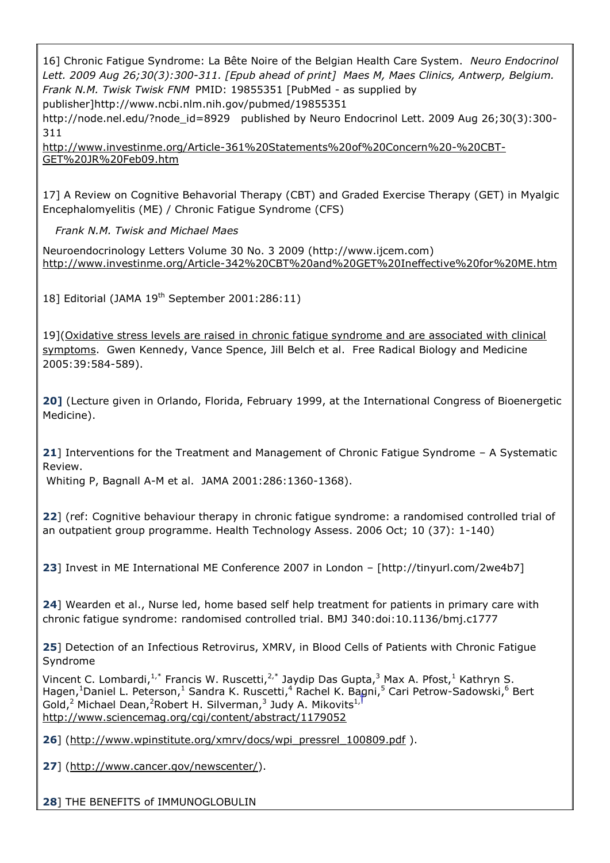<span id="page-27-0"></span>16] Chronic Fatigue Syndrome: La Bête Noire of the Belgian Health Care System. *Neuro Endocrinol Lett. 2009 Aug 26;30(3):300-311. [Epub ahead of print] Maes M, Maes Clinics, Antwerp, Belgium. Frank N.M. Twisk Twisk FNM* PMID: 19855351 [PubMed - as supplied by

publisher[\]http://www.ncbi.nlm.nih.gov/pubmed/19855351](http://www.ncbi.nlm.nih.gov/pubmed/19855351)

http://node.nel.edu/?node id=8929 published by Neuro Endocrinol Lett. 2009 Aug 26;30(3):300-311

[http://www.investinme.org/Article-361%20Statements%20of%20Concern%20-%20CBT-](http://www.investinme.org/Article-361%20Statements%20of%20Concern%20-%20CBT-GET%20JR%20Feb09.htm)[GET%20JR%20Feb09.htm](http://www.investinme.org/Article-361%20Statements%20of%20Concern%20-%20CBT-GET%20JR%20Feb09.htm)

<span id="page-27-1"></span>17] A Review on Cognitive Behavorial Therapy (CBT) and Graded Exercise Therapy (GET) in Myalgic Encephalomyelitis (ME) / Chronic Fatigue Syndrome (CFS)

*Frank N.M. Twisk and Michael Maes*

Neuroendocrinology Letters Volume 30 No. 3 2009 [\(http://www.ijcem.com\)](http://www.ijcem.com/) <http://www.investinme.org/Article-342%20CBT%20and%20GET%20Ineffective%20for%20ME.htm>

<span id="page-27-2"></span>18] Editorial (JAMA 19<sup>th</sup> September 2001:286:11)

<span id="page-27-3"></span>19](Oxidative stress levels are raised in chronic fatigue syndrome and are associated with clinical symptoms. Gwen Kennedy, Vance Spence, Jill Belch et al. Free Radical Biology and Medicine 2005:39:584-589).

<span id="page-27-4"></span>**20]** (Lecture given in Orlando, Florida, February 1999, at the International Congress of Bioenergetic Medicine).

<span id="page-27-5"></span>**21**] Interventions for the Treatment and Management of Chronic Fatigue Syndrome – A Systematic Review.

Whiting P, Bagnall A-M et al. JAMA 2001:286:1360-1368).

**22**] (ref: Cognitive behaviour therapy in chronic fatigue syndrome: a randomised controlled trial of an outpatient group programme. Health Technology Assess. 2006 Oct; 10 (37): 1-140)

<span id="page-27-6"></span>**23**] Invest in ME International ME Conference 2007 in London – [http://tinyurl.com/2we4b7]

<span id="page-27-7"></span>**24**] Wearden et al., Nurse led, home based self help treatment for patients in primary care with chronic fatigue syndrome: randomised controlled trial. BMJ 340:doi:10.1136/bmj.c1777

<span id="page-27-8"></span>**25**] Detection of an Infectious Retrovirus, XMRV, in Blood Cells of Patients with Chronic Fatigue Syndrome

Vincent C. Lombardi,<sup>1,\*</sup> Francis W. Ruscetti,<sup>2,\*</sup> Jaydip Das Gupta,<sup>3</sup> Max A. Pfost,<sup>1</sup> Kathrvn S. Hagen,<sup>1</sup>Daniel L. Peterson,<sup>1</sup> Sandra K. Ruscetti,<sup>4</sup> Rachel K. Bagni,<sup>5</sup> Cari Petrow-Sadowski,<sup>6</sup> Bert Gold,<sup>2</sup> Michael Dean,<sup>2</sup>Robert H. Silverman,<sup>3</sup> Judy A. Mikovits<sup>1,</sup> <http://www.sciencemag.org/cgi/content/abstract/1179052>

<span id="page-27-9"></span>26] [\(http://www.wpinstitute.org/xmrv/docs/wpi\\_pressrel\\_100809.pdf](http://www.wpinstitute.org/xmrv/docs/wpi_pressrel_100809.pdf) ).

<span id="page-27-10"></span>**27**] [\(http://www.cancer.gov/newscenter/\)](http://www.cancer.gov/newscenter/).

<span id="page-27-11"></span>**28**] THE BENEFITS of IMMUNOGLOBULIN